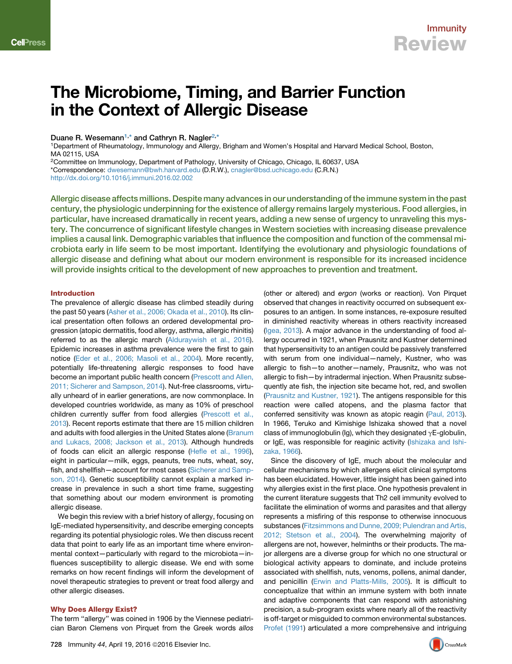# The Microbiome, Timing, and Barrier Function in the Context of Allergic Disease

Duane R. Wesemann<sup>[1](#page-0-0),[\\*](#page-0-1)</sup> and Cathryn R. Nagler<sup>[2](#page-0-2),\*</sup>

<span id="page-0-0"></span>1Department of Rheumatology, Immunology and Allergy, Brigham and Women's Hospital and Harvard Medical School, Boston, MA 02115, USA

<span id="page-0-2"></span>2Committee on Immunology, Department of Pathology, University of Chicago, Chicago, IL 60637, USA

<span id="page-0-1"></span>\*Correspondence: [dwesemann@bwh.harvard.edu](mailto:dwesemann@bwh.harvard.edu) (D.R.W.), [cnagler@bsd.uchicago.edu](mailto:cnagler@bsd.uchicago.edu) (C.R.N.)

<http://dx.doi.org/10.1016/j.immuni.2016.02.002>

Allergic disease affects millions. Despite many advances in our understanding of the immune system in the past century, the physiologic underpinning for the existence of allergy remains largely mysterious. Food allergies, in particular, have increased dramatically in recent years, adding a new sense of urgency to unraveling this mystery. The concurrence of significant lifestyle changes in Western societies with increasing disease prevalence implies a causal link. Demographic variables that influence the composition and function of the commensal microbiota early in life seem to be most important. Identifying the evolutionary and physiologic foundations of allergic disease and defining what about our modern environment is responsible for its increased incidence will provide insights critical to the development of new approaches to prevention and treatment.

### Introduction

The prevalence of allergic disease has climbed steadily during the past 50 years ([Asher et al., 2006; Okada et al., 2010](#page-6-0)). Its clinical presentation often follows an ordered developmental progression (atopic dermatitis, food allergy, asthma, allergic rhinitis) referred to as the allergic march ([Alduraywish et al., 2016](#page-6-1)). Epidemic increases in asthma prevalence were the first to gain notice ([Eder et al., 2006; Masoli et al., 2004\)](#page-7-0). More recently, potentially life-threatening allergic responses to food have become an important public health concern ([Prescott and Allen,](#page-9-0) [2011; Sicherer and Sampson, 2014\)](#page-9-0). Nut-free classrooms, virtually unheard of in earlier generations, are now commonplace. In developed countries worldwide, as many as 10% of preschool children currently suffer from food allergies [\(Prescott et al.,](#page-9-1) [2013](#page-9-1)). Recent reports estimate that there are 15 million children and adults with food allergies in the United States alone [\(Branum](#page-6-2) [and Lukacs, 2008; Jackson et al., 2013](#page-6-2)). Although hundreds of foods can elicit an allergic response [\(Hefle et al., 1996](#page-7-1)), eight in particular—milk, eggs, peanuts, tree nuts, wheat, soy, fish, and shellfish—account for most cases ([Sicherer and Samp](#page-9-2)[son, 2014\)](#page-9-2). Genetic susceptibility cannot explain a marked increase in prevalence in such a short time frame, suggesting that something about our modern environment is promoting allergic disease.

We begin this review with a brief history of allergy, focusing on IgE-mediated hypersensitivity, and describe emerging concepts regarding its potential physiologic roles. We then discuss recent data that point to early life as an important time where environmental context—particularly with regard to the microbiota—influences susceptibility to allergic disease. We end with some remarks on how recent findings will inform the development of novel therapeutic strategies to prevent or treat food allergy and other allergic diseases.

### Why Does Allergy Exist?

The term ''allergy'' was coined in 1906 by the Viennese pediatrician Baron Clemens von Pirquet from the Greek words *allos*

(other or altered) and *ergon* (works or reaction). Von Pirquet observed that changes in reactivity occurred on subsequent exposures to an antigen. In some instances, re-exposure resulted in diminished reactivity whereas in others reactivity increased [\(Igea, 2013](#page-7-2)). A major advance in the understanding of food allergy occurred in 1921, when Prausnitz and Kustner determined that hypersensitivity to an antigen could be passively transferred with serum from one individual—namely, Kustner, who was allergic to fish—to another—namely, Prausnitz, who was not allergic to fish—by intradermal injection. When Prausnitz subsequently ate fish, the injection site became hot, red, and swollen [\(Prausnitz and Kustner, 1921\)](#page-9-3). The antigens responsible for this reaction were called atopens, and the plasma factor that conferred sensitivity was known as atopic reagin ([Paul, 2013](#page-9-4)). In 1966, Teruko and Kimishige Ishizaka showed that a novel class of immunoglobulin (Ig), which they designated  $\gamma$ E-globulin, or IgE, was responsible for reaginic activity ([Ishizaka and Ishi](#page-7-3)[zaka, 1966\)](#page-7-3).

Since the discovery of IgE, much about the molecular and cellular mechanisms by which allergens elicit clinical symptoms has been elucidated. However, little insight has been gained into why allergies exist in the first place. One hypothesis prevalent in the current literature suggests that Th2 cell immunity evolved to facilitate the elimination of worms and parasites and that allergy represents a misfiring of this response to otherwise innocuous substances [\(Fitzsimmons and Dunne, 2009; Pulendran and Artis,](#page-7-4) [2012; Stetson et al., 2004\)](#page-7-4). The overwhelming majority of allergens are not, however, helminths or their products. The major allergens are a diverse group for which no one structural or biological activity appears to dominate, and include proteins associated with shellfish, nuts, venoms, pollens, animal dander, and penicillin [\(Erwin and Platts-Mills, 2005](#page-7-5)). It is difficult to conceptualize that within an immune system with both innate and adaptive components that can respond with astonishing precision, a sub-program exists where nearly all of the reactivity is off-target or misguided to common environmental substances. [Profet \(1991\)](#page-9-5) articulated a more comprehensive and intriguing

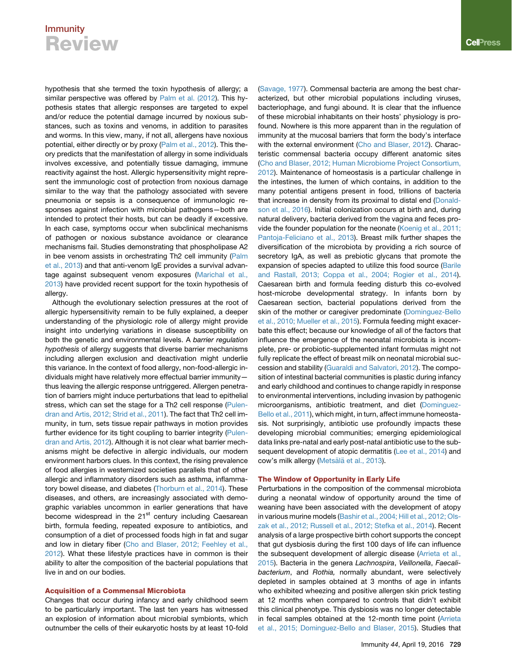hypothesis that she termed the toxin hypothesis of allergy; a similar perspective was offered by [Palm et al. \(2012\)](#page-9-6). This hypothesis states that allergic responses are targeted to expel and/or reduce the potential damage incurred by noxious substances, such as toxins and venoms, in addition to parasites and worms. In this view, many, if not all, allergens have noxious potential, either directly or by proxy [\(Palm et al., 2012\)](#page-9-6). This theory predicts that the manifestation of allergy in some individuals involves excessive, and potentially tissue damaging, immune reactivity against the host. Allergic hypersensitivity might represent the immunologic cost of protection from noxious damage similar to the way that the pathology associated with severe pneumonia or sepsis is a consequence of immunologic responses against infection with microbial pathogens—both are intended to protect their hosts, but can be deadly if excessive. In each case, symptoms occur when subclinical mechanisms of pathogen or noxious substance avoidance or clearance mechanisms fail. Studies demonstrating that phospholipase A2 in bee venom assists in orchestrating Th2 cell immunity [\(Palm](#page-9-7) [et al., 2013](#page-9-7)) and that anti-venom IgE provides a survival advantage against subsequent venom exposures [\(Marichal et al.,](#page-8-0) [2013\)](#page-8-0) have provided recent support for the toxin hypothesis of allergy.

Although the evolutionary selection pressures at the root of allergic hypersensitivity remain to be fully explained, a deeper understanding of the physiologic role of allergy might provide insight into underlying variations in disease susceptibility on both the genetic and environmental levels. A *barrier regulation hypothesis* of allergy suggests that diverse barrier mechanisms including allergen exclusion and deactivation might underlie this variance. In the context of food allergy, non-food-allergic individuals might have relatively more effectual barrier immunity thus leaving the allergic response untriggered. Allergen penetration of barriers might induce perturbations that lead to epithelial stress, which can set the stage for a Th2 cell response ([Pulen](#page-9-8)[dran and Artis, 2012; Strid et al., 2011\)](#page-9-8). The fact that Th2 cell immunity, in turn, sets tissue repair pathways in motion provides further evidence for its tight coupling to barrier integrity ([Pulen](#page-9-8)[dran and Artis, 2012\)](#page-9-8). Although it is not clear what barrier mechanisms might be defective in allergic individuals, our modern environment harbors clues. In this context, the rising prevalence of food allergies in westernized societies parallels that of other allergic and inflammatory disorders such as asthma, inflammatory bowel disease, and diabetes [\(Thorburn et al., 2014](#page-9-9)). These diseases, and others, are increasingly associated with demographic variables uncommon in earlier generations that have become widespread in the  $21<sup>st</sup>$  century including Caesarean birth, formula feeding, repeated exposure to antibiotics, and consumption of a diet of processed foods high in fat and sugar and low in dietary fiber ([Cho and Blaser, 2012; Feehley et al.,](#page-7-6) [2012\)](#page-7-6). What these lifestyle practices have in common is their ability to alter the composition of the bacterial populations that live in and on our bodies.

### Acquisition of a Commensal Microbiota

Changes that occur during infancy and early childhood seem to be particularly important. The last ten years has witnessed an explosion of information about microbial symbionts, which outnumber the cells of their eukaryotic hosts by at least 10-fold [\(Savage, 1977](#page-9-10)). Commensal bacteria are among the best characterized, but other microbial populations including viruses, bacteriophage, and fungi abound. It is clear that the influence of these microbial inhabitants on their hosts' physiology is profound. Nowhere is this more apparent than in the regulation of immunity at the mucosal barriers that form the body's interface with the external environment [\(Cho and Blaser, 2012](#page-7-6)). Characteristic commensal bacteria occupy different anatomic sites [\(Cho and Blaser, 2012; Human Microbiome Project Consortium,](#page-7-6) [2012\)](#page-7-6). Maintenance of homeostasis is a particular challenge in the intestines, the lumen of which contains, in addition to the many potential antigens present in food, trillions of bacteria that increase in density from its proximal to distal end ([Donald](#page-7-7)[son et al., 2016](#page-7-7)). Initial colonization occurs at birth and, during natural delivery, bacteria derived from the vagina and feces provide the founder population for the neonate ([Koenig et al., 2011;](#page-8-1) [Pantoja-Feliciano et al., 2013](#page-8-1)). Breast milk further shapes the diversification of the microbiota by providing a rich source of secretory IgA, as well as prebiotic glycans that promote the expansion of species adapted to utilize this food source ([Barile](#page-6-3) [and Rastall, 2013; Coppa et al., 2004; Rogier et al., 2014\)](#page-6-3). Caesarean birth and formula feeding disturb this co-evolved host-microbe developmental strategy. In infants born by Caesarean section, bacterial populations derived from the skin of the mother or caregiver predominate [\(Dominguez-Bello](#page-7-8) [et al., 2010; Mueller et al., 2015](#page-7-8)). Formula feeding might exacerbate this effect; because our knowledge of all of the factors that influence the emergence of the neonatal microbiota is incomplete, pre- or probiotic-supplemented infant formulas might not fully replicate the effect of breast milk on neonatal microbial succession and stability ([Guaraldi and Salvatori, 2012\)](#page-7-9). The composition of intestinal bacterial communities is plastic during infancy and early childhood and continues to change rapidly in response to environmental interventions, including invasion by pathogenic microorganisms, antibiotic treatment, and diet [\(Dominguez-](#page-7-10)[Bello et al., 2011](#page-7-10)), which might, in turn, affect immune homeostasis. Not surprisingly, antibiotic use profoundly impacts these developing microbial communities; emerging epidemiological data links pre-natal and early post-natal antibiotic use to the sub-sequent development of atopic dermatitis [\(Lee et al., 2014](#page-8-2)) and cow's milk allergy (Metsälä [et al., 2013](#page-8-3)).

### The Window of Opportunity in Early Life

Perturbations in the composition of the commensal microbiota during a neonatal window of opportunity around the time of weaning have been associated with the development of atopy in various murine models [\(Bashir et al., 2004; Hill et al., 2012; Ols](#page-6-4)[zak et al., 2012; Russell et al., 2012; Stefka et al., 2014](#page-6-4)). Recent analysis of a large prospective birth cohort supports the concept that gut dysbiosis during the first 100 days of life can influence the subsequent development of allergic disease ([Arrieta et al.,](#page-6-5) [2015\)](#page-6-5). Bacteria in the genera *Lachnospira*, *Veillonella*, *Faecalibacterium*, and *Rothia,* normally abundant, were selectively depleted in samples obtained at 3 months of age in infants who exhibited wheezing and positive allergen skin prick testing at 12 months when compared to controls that didn't exhibit this clinical phenotype. This dysbiosis was no longer detectable in fecal samples obtained at the 12-month time point [\(Arrieta](#page-6-5) [et al., 2015; Dominguez-Bello and Blaser, 2015\)](#page-6-5). Studies that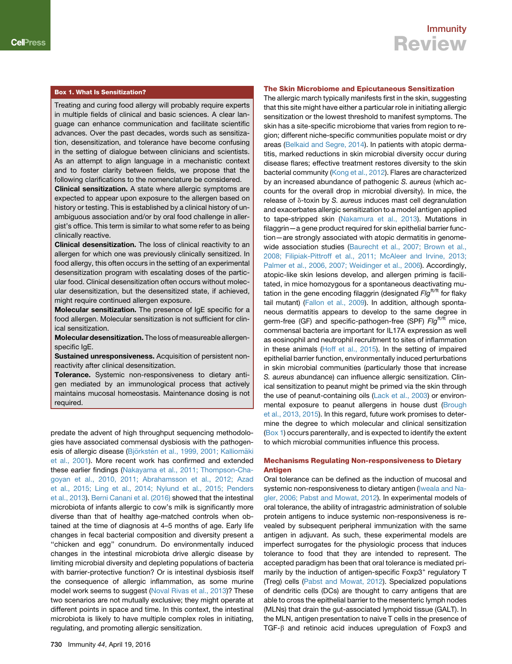### Box 1. What Is Sensitization?

Treating and curing food allergy will probably require experts in multiple fields of clinical and basic sciences. A clear language can enhance communication and facilitate scientific advances. Over the past decades, words such as sensitization, desensitization, and tolerance have become confusing in the setting of dialogue between clinicians and scientists. As an attempt to align language in a mechanistic context and to foster clarity between fields, we propose that the following clarifications to the nomenclature be considered.

Clinical sensitization. A state where allergic symptoms are expected to appear upon exposure to the allergen based on history or testing. This is established by a clinical history of unambiguous association and/or by oral food challenge in allergist's office. This term is similar to what some refer to as being clinically reactive.

Clinical desensitization. The loss of clinical reactivity to an allergen for which one was previously clinically sensitized. In food allergy, this often occurs in the setting of an experimental desensitization program with escalating doses of the particular food. Clinical desensitization often occurs without molecular desensitization, but the desensitized state, if achieved, might require continued allergen exposure.

Molecular sensitization. The presence of IgE specific for a food allergen. Molecular sensitization is not sufficient for clinical sensitization.

Molecular desensitization. The loss of measureable allergenspecific IgE.

Sustained unresponsiveness. Acquisition of persistent nonreactivity after clinical desensitization.

Tolerance. Systemic non-responsiveness to dietary antigen mediated by an immunological process that actively maintains mucosal homeostasis. Maintenance dosing is not required.

predate the advent of high throughput sequencing methodologies have associated commensal dysbiosis with the pathogenesis of allergic disease (Björkstén et al., 1999, 2001; Kalliomäki [et al., 2001](#page-6-6)). More recent work has confirmed and extended these earlier findings ([Nakayama et al., 2011; Thompson-Cha](#page-8-4)[goyan et al., 2010, 2011; Abrahamsson et al., 2012; Azad](#page-8-4) [et al., 2015; Ling et al., 2014; Nylund et al., 2015; Penders](#page-8-4) [et al., 2013\)](#page-8-4). [Berni Canani et al. \(2016\)](#page-6-7) showed that the intestinal microbiota of infants allergic to cow's milk is significantly more diverse than that of healthy age-matched controls when obtained at the time of diagnosis at 4–5 months of age. Early life changes in fecal bacterial composition and diversity present a ''chicken and egg'' conundrum. Do environmentally induced changes in the intestinal microbiota drive allergic disease by limiting microbial diversity and depleting populations of bacteria with barrier-protective function? Or is intestinal dysbiosis itself the consequence of allergic inflammation, as some murine model work seems to suggest [\(Noval Rivas et al., 2013\)](#page-8-5)? These two scenarios are not mutually exclusive; they might operate at different points in space and time. In this context, the intestinal microbiota is likely to have multiple complex roles in initiating, regulating, and promoting allergic sensitization.

### The Skin Microbiome and Epicutaneous Sensitization

The allergic march typically manifests first in the skin, suggesting that this site might have either a particular role in initiating allergic sensitization or the lowest threshold to manifest symptoms. The skin has a site-specific microbiome that varies from region to region; different niche-specific communities populate moist or dry areas [\(Belkaid and Segre, 2014](#page-6-8)). In patients with atopic dermatitis, marked reductions in skin microbial diversity occur during disease flares; effective treatment restores diversity to the skin bacterial community [\(Kong et al., 2012\)](#page-8-6). Flares are characterized by an increased abundance of pathogenic *S. aureus* (which accounts for the overall drop in microbial diversity). In mice, the release of δ-toxin by *S. aureus* induces mast cell degranulation and exacerbates allergic sensitization to a model antigen applied to tape-stripped skin [\(Nakamura et al., 2013\)](#page-8-7). Mutations in filaggrin—a gene product required for skin epithelial barrier function—are strongly associated with atopic dermatitis in genomewide association studies ([Baurecht et al., 2007; Brown et al.,](#page-6-9) [2008; Filipiak-Pittroff et al., 2011; McAleer and Irvine, 2013;](#page-6-9) [Palmer et al., 2006, 2007; Weidinger et al., 2006](#page-6-9)). Accordingly, atopic-like skin lesions develop, and allergen priming is facilitated, in mice homozygous for a spontaneous deactivating mutation in the gene encoding filaggrin (designated *Flg*ft/ft for flaky tail mutant) ([Fallon et al., 2009\)](#page-7-11). In addition, although spontaneous dermatitis appears to develop to the same degree in germ-free (GF) and specific-pathogen-free (SPF) *Flg*ft/ft mice, commensal bacteria are important for IL17A expression as well as eosinophil and neutrophil recruitment to sites of inflammation in these animals ([Hoff et al., 2015](#page-7-12)). In the setting of impaired epithelial barrier function, environmentally induced perturbations in skin microbial communities (particularly those that increase *S. aureus* abundance) can influence allergic sensitization. Clinical sensitization to peanut might be primed via the skin through the use of peanut-containing oils ([Lack et al., 2003\)](#page-8-8) or environmental exposure to peanut allergens in house dust [\(Brough](#page-6-10) [et al., 2013, 2015](#page-6-10)). In this regard, future work promises to determine the degree to which molecular and clinical sensitization (Box 1) occurs parenterally, and is expected to identify the extent to which microbial communities influence this process.

### Mechanisms Regulating Non-responsiveness to Dietary **Antigen**

Oral tolerance can be defined as the induction of mucosal and systemic non-responsiveness to dietary antigen ([Iweala and Na](#page-7-13)[gler, 2006; Pabst and Mowat, 2012](#page-7-13)). In experimental models of oral tolerance, the ability of intragastric administration of soluble protein antigens to induce systemic non-responsiveness is revealed by subsequent peripheral immunization with the same antigen in adjuvant. As such, these experimental models are imperfect surrogates for the physiologic process that induces tolerance to food that they are intended to represent. The accepted paradigm has been that oral tolerance is mediated primarily by the induction of antigen-specific  $F\alpha p3$ <sup>+</sup> regulatory  $T$ (Treg) cells [\(Pabst and Mowat, 2012](#page-9-11)). Specialized populations of dendritic cells (DCs) are thought to carry antigens that are able to cross the epithelial barrier to the mesenteric lymph nodes (MLNs) that drain the gut-associated lymphoid tissue (GALT). In the MLN, antigen presentation to naive T cells in the presence of TGF- $\beta$  and retinoic acid induces upregulation of Foxp3 and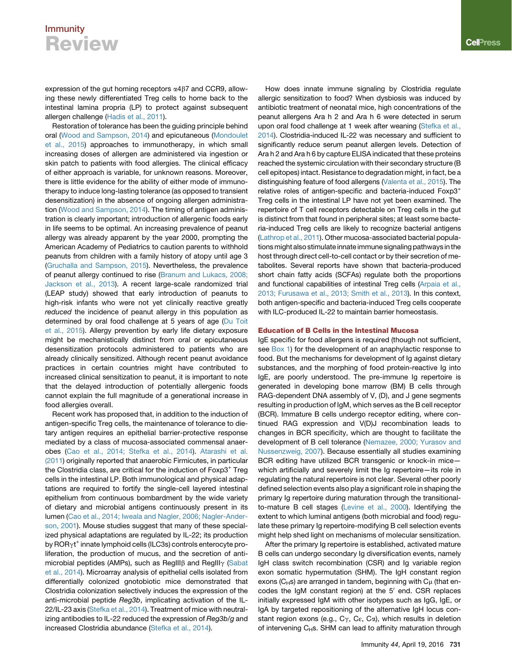expression of the gut homing receptors  $\alpha$ 4 $\beta$ 7 and CCR9, allowing these newly differentiated Treg cells to home back to the intestinal lamina propria (LP) to protect against subsequent allergen challenge [\(Hadis et al., 2011](#page-7-14)).

Restoration of tolerance has been the guiding principle behind oral [\(Wood and Sampson, 2014\)](#page-10-0) and epicutaneous ([Mondoulet](#page-8-9) [et al., 2015\)](#page-8-9) approaches to immunotherapy, in which small increasing doses of allergen are administered via ingestion or skin patch to patients with food allergies. The clinical efficacy of either approach is variable, for unknown reasons. Moreover, there is little evidence for the ability of either mode of immunotherapy to induce long-lasting tolerance (as opposed to transient desensitization) in the absence of ongoing allergen administration [\(Wood and Sampson, 2014\)](#page-10-0). The timing of antigen administration is clearly important; introduction of allergenic foods early in life seems to be optimal. An increasing prevalence of peanut allergy was already apparent by the year 2000, prompting the American Academy of Pediatrics to caution parents to withhold peanuts from children with a family history of atopy until age 3 [\(Gruchalla and Sampson, 2015\)](#page-7-15). Nevertheless, the prevalence of peanut allergy continued to rise [\(Branum and Lukacs, 2008;](#page-6-2) [Jackson et al., 2013](#page-6-2)). A recent large-scale randomized trial (LEAP study) showed that early introduction of peanuts to high-risk infants who were not yet clinically reactive greatly *reduced* the incidence of peanut allergy in this population as determined by oral food challenge at 5 years of age ([Du Toit](#page-7-16) [et al., 2015\)](#page-7-16). Allergy prevention by early life dietary exposure might be mechanistically distinct from oral or epicutaneous desensitization protocols administered to patients who are already clinically sensitized. Although recent peanut avoidance practices in certain countries might have contributed to increased clinical sensitization to peanut, it is important to note that the delayed introduction of potentially allergenic foods cannot explain the full magnitude of a generational increase in food allergies overall.

Recent work has proposed that, in addition to the induction of antigen-specific Treg cells, the maintenance of tolerance to dietary antigen requires an epithelial barrier-protective response mediated by a class of mucosa-associated commensal anaerobes ([Cao et al., 2014; Stefka et al., 2014\)](#page-7-17). [Atarashi et al.](#page-6-11) [\(2011\)](#page-6-11) originally reported that anaerobic Firmicutes, in particular the Clostridia class, are critical for the induction of  $F\alpha p3^+$  Treg cells in the intestinal LP. Both immunological and physical adaptations are required to fortify the single-cell layered intestinal epithelium from continuous bombardment by the wide variety of dietary and microbial antigens continuously present in its lumen [\(Cao et al., 2014; Iweala and Nagler, 2006; Nagler-Ander](#page-7-17)[son, 2001\)](#page-7-17). Mouse studies suggest that many of these specialized physical adaptations are regulated by IL-22; its production by ROR<sub>Y</sub>t<sup>+</sup> innate lymphoid cells (ILC3s) controls enterocyte proliferation, the production of mucus, and the secretion of antimicrobial peptides (AMPs), such as RegIII $\beta$  and RegIII $\gamma$  ([Sabat](#page-9-12) [et al., 2014](#page-9-12)). Microarray analysis of epithelial cells isolated from differentially colonized gnotobiotic mice demonstrated that Clostridia colonization selectively induces the expression of the anti-microbial peptide *Reg3b*, implicating activation of the IL-22/IL-23 axis [\(Stefka et al., 2014](#page-9-13)). Treatment of mice with neutralizing antibodies to IL-22 reduced the expression of *Reg3b/g* and increased Clostridia abundance ([Stefka et al., 2014](#page-9-13)).

How does innate immune signaling by Clostridia regulate allergic sensitization to food? When dysbiosis was induced by antibiotic treatment of neonatal mice, high concentrations of the peanut allergens Ara h 2 and Ara h 6 were detected in serum upon oral food challenge at 1 week after weaning ([Stefka et al.,](#page-9-13) [2014\)](#page-9-13). Clostridia-induced IL-22 was necessary and sufficient to significantly reduce serum peanut allergen levels. Detection of Ara h 2 and Ara h 6 by capture ELISA indicated that these proteins reached the systemic circulation with their secondary structure (B cell epitopes) intact. Resistance to degradation might, in fact, be a distinguishing feature of food allergens ([Valenta et al., 2015\)](#page-9-14). The relative roles of antigen-specific and bacteria-induced Foxp3<sup>+</sup> Treg cells in the intestinal LP have not yet been examined. The repertoire of T cell receptors detectable on Treg cells in the gut is distinct from that found in peripheral sites; at least some bacteria-induced Treg cells are likely to recognize bacterial antigens [\(Lathrop et al., 2011\)](#page-8-10). Other mucosa-associated bacterial populations might also stimulate innate immune signaling pathways in the host through direct cell-to-cell contact or by their secretion of metabolites. Several reports have shown that bacteria-produced short chain fatty acids (SCFAs) regulate both the proportions and functional capabilities of intestinal Treg cells ([Arpaia et al.,](#page-6-12) [2013; Furusawa et al., 2013; Smith et al., 2013](#page-6-12)). In this context, both antigen-specific and bacteria-induced Treg cells cooperate with ILC-produced IL-22 to maintain barrier homeostasis.

### Education of B Cells in the Intestinal Mucosa

IgE specific for food allergens is required (though not sufficient, see Box 1) for the development of an anaphylactic response to food. But the mechanisms for development of Ig against dietary substances, and the morphing of food protein-reactive Ig into IgE, are poorly understood. The pre-immune Ig repertoire is generated in developing bone marrow (BM) B cells through RAG-dependent DNA assembly of V, (D), and J gene segments resulting in production of IgM, which serves as the B cell receptor (BCR). Immature B cells undergo receptor editing, where continued RAG expression and V(D)J recombination leads to changes in BCR specificity, which are thought to facilitate the development of B cell tolerance ([Nemazee, 2000; Yurasov and](#page-8-11) [Nussenzweig, 2007](#page-8-11)). Because essentially all studies examining BCR editing have utilized BCR transgenic or knock-in mice which artificially and severely limit the Ig repertoire—its role in regulating the natural repertoire is not clear. Several other poorly defined selection events also play a significant role in shaping the primary Ig repertoire during maturation through the transitionalto-mature B cell stages ([Levine et al., 2000](#page-8-12)). Identifying the extent to which luminal antigens (both microbial and food) regulate these primary Ig repertoire-modifying B cell selection events might help shed light on mechanisms of molecular sensitization.

After the primary Ig repertoire is established, activated mature B cells can undergo secondary Ig diversification events, namely IgH class switch recombination (CSR) and Ig variable region exon somatic hypermutation (SHM). The IgH constant region exons ( $C_H$ s) are arranged in tandem, beginning with  $C_H$  (that encodes the IgM constant region) at the  $5'$  end. CSR replaces initially expressed IgM with other isotypes such as IgG, IgE, or IgA by targeted repositioning of the alternative IgH locus constant region exons (e.g.,  $C_{\gamma}$ ,  $C_{\epsilon}$ ,  $C_{\alpha}$ ), which results in deletion of intervening  $C_{H}$ s. SHM can lead to affinity maturation through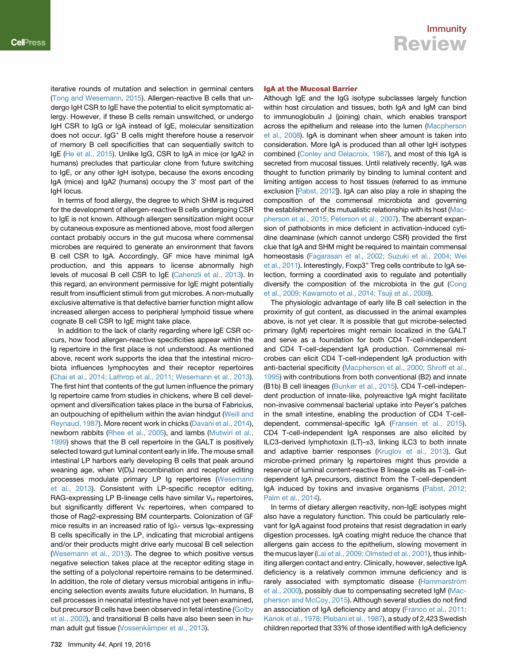iterative rounds of mutation and selection in germinal centers ([Tong and Wesemann, 2015](#page-9-15)). Allergen-reactive B cells that undergo IgH CSR to IgE have the potential to elicit symptomatic allergy. However, if these B cells remain unswitched, or undergo IgH CSR to IgG or IgA instead of IgE, molecular sensitization does not occur. IgG<sup>+</sup> B cells might therefore house a reservoir of memory B cell specificities that can sequentially switch to IgE ([He et al., 2015\)](#page-7-18). Unlike IgG, CSR to IgA in mice (or IgA2 in humans) precludes that particular clone from future switching to IgE, or any other IgH isotype, because the exons encoding IgA (mice) and IgA2 (humans) occupy the 3' most part of the IgH locus.

In terms of food allergy, the degree to which SHM is required for the development of allergen-reactive B cells undergoing CSR to IgE is not known. Although allergen sensitization might occur by cutaneous exposure as mentioned above, most food allergen contact probably occurs in the gut mucosa where commensal microbes are required to generate an environment that favors B cell CSR to IgA. Accordingly, GF mice have minimal IgA production, and this appears to license abnormally high levels of mucosal B cell CSR to IgE ([Cahenzli et al., 2013](#page-7-19)). In this regard, an environment permissive for IgE might potentially result from insufficient stimuli from gut microbes. A non-mutually exclusive alternative is that defective barrier function might allow increased allergen access to peripheral lymphoid tissue where cognate B cell CSR to IgE might take place.

In addition to the lack of clarity regarding where IgE CSR occurs, how food allergen-reactive specificities appear within the Ig repertoire in the first place is not understood. As mentioned above, recent work supports the idea that the intestinal microbiota influences lymphocytes and their receptor repertoires ([Chai et al., 2014; Lathrop et al., 2011; Wesemann et al., 2013](#page-7-20)). The first hint that contents of the gut lumen influence the primary Ig repertoire came from studies in chickens, where B cell development and diversification takes place in the bursa of Fabricius, an outpouching of epithelium within the avian hindgut [\(Weill and](#page-10-1) [Reynaud, 1987](#page-10-1)). More recent work in chicks [\(Davani et al., 2014](#page-7-21)), newborn rabbits [\(Rhee et al., 2005](#page-9-16)), and lambs ([Mutwiri et al.,](#page-8-13) [1999](#page-8-13)) shows that the B cell repertoire in the GALT is positively selected toward gut luminal content early in life. The mouse small intestinal LP harbors early developing B cells that peak around weaning age, when V(D)J recombination and receptor editing processes modulate primary LP Ig repertoires [\(Wesemann](#page-10-2) [et al., 2013](#page-10-2)). Consistent with LP-specific receptor editing, RAG-expressing LP B-lineage cells have similar  $V_H$  repertoires, but significantly different  $V_K$  repertoires, when compared to those of Rag2-expressing BM counterparts. Colonization of GF mice results in an increased ratio of  $lg\lambda$ - versus  $lg\kappa$ -expressing B cells specifically in the LP, indicating that microbial antigens and/or their products might drive early mucosal B cell selection ([Wesemann et al., 2013](#page-10-2)). The degree to which positive versus negative selection takes place at the receptor editing stage in the setting of a polyclonal repertoire remains to be determined. In addition, the role of dietary versus microbial antigens in influencing selection events awaits future elucidation. In humans, B cell processes in neonatal intestine have not yet been examined, but precursor B cells have been observed in fetal intestine [\(Golby](#page-7-22) [et al., 2002\)](#page-7-22), and transitional B cells have also been seen in human adult gut tissue (Vossenkä[mper et al., 2013\)](#page-9-17).

### Immunity Review

### IgA at the Mucosal Barrier

Although IgE and the IgG isotype subclasses largely function within host circulation and tissues, both IgA and IgM can bind to immunoglobulin J (joining) chain, which enables transport across the epithelium and release into the lumen [\(Macpherson](#page-8-14) [et al., 2008\)](#page-8-14). IgA is dominant when sheer amount is taken into consideration. More IgA is produced than all other IgH isotypes combined [\(Conley and Delacroix, 1987](#page-7-23)), and most of this IgA is secreted from mucosal tissues. Until relatively recently, IgA was thought to function primarily by binding to luminal content and limiting antigen access to host tissues (referred to as immune exclusion [[Pabst, 2012\]](#page-8-15)). IgA can also play a role in shaping the composition of the commensal microbiota and governing the establishment of its mutualistic relationship with its host [\(Mac](#page-8-16)[pherson et al., 2015; Peterson et al., 2007\)](#page-8-16). The aberrant expansion of pathobionts in mice deficient in activation-induced cytidine deaminase (which cannot undergo CSR) provided the first clue that IgA and SHM might be required to maintain commensal homeostasis [\(Fagarasan et al., 2002; Suzuki et al., 2004; Wei](#page-7-24) [et al., 2011](#page-7-24)). Interestingly, Foxp3<sup>+</sup> Treg cells contribute to IgA selection, forming a coordinated axis to regulate and potentially diversify the composition of the microbiota in the gut ([Cong](#page-7-25) [et al., 2009; Kawamoto et al., 2014; Tsuji et al., 2009\)](#page-7-25).

The physiologic advantage of early life B cell selection in the proximity of gut content, as discussed in the animal examples above, is not yet clear. It is possible that gut microbe-selected primary (IgM) repertoires might remain localized in the GALT and serve as a foundation for both CD4 T-cell-independent and CD4 T-cell-dependent IgA production. Commensal microbes can elicit CD4 T-cell-independent IgA production with anti-bacterial specificity ([Macpherson et al., 2000; Shroff et al.,](#page-8-17) [1995\)](#page-8-17) with contributions from both conventional (B2) and innate (B1b) B cell lineages [\(Bunker et al., 2015](#page-6-13)). CD4 T-cell-independent production of innate-like, polyreactive IgA might facilitate non-invasive commensal bacterial uptake into Peyer's patches in the small intestine, enabling the production of CD4 T-celldependent, commensal-specific IgA [\(Fransen et al., 2015](#page-7-26)). CD4 T-cell-independent IgA responses are also elicited by ILC3-derived lymphotoxin (LT)- $\alpha$ 3, linking ILC3 to both innate and adaptive barrier responses ([Kruglov et al., 2013](#page-8-18)). Gut microbe-primed primary Ig repertoires might thus provide a reservoir of luminal content-reactive B lineage cells as T-cell-independent IgA precursors, distinct from the T-cell-dependent IgA induced by toxins and invasive organisms [\(Pabst, 2012;](#page-8-15) [Palm et al., 2014](#page-8-15)).

In terms of dietary allergen reactivity, non-IgE isotypes might also have a regulatory function. This could be particularly relevant for IgA against food proteins that resist degradation in early digestion processes. IgA coating might reduce the chance that allergens gain access to the epithelium, slowing movement in the mucus layer [\(Lai et al., 2009; Olmsted et al., 2001\)](#page-8-19), thus inhibiting allergen contact and entry. Clinically, however, selective IgA deficiency is a relatively common immune deficiency and is rarely associated with symptomatic disease (Hammarström [et al., 2000\)](#page-7-27), possibly due to compensating secreted IgM [\(Mac](#page-8-20)[pherson and McCoy, 2015\)](#page-8-20). Although several studies do not find an association of IgA deficiency and atopy ([Franco et al., 2011;](#page-7-28) [Kanok et al., 1978; Plebani et al., 1987](#page-7-28)), a study of 2,423 Swedish children reported that 33% of those identified with IgA deficiency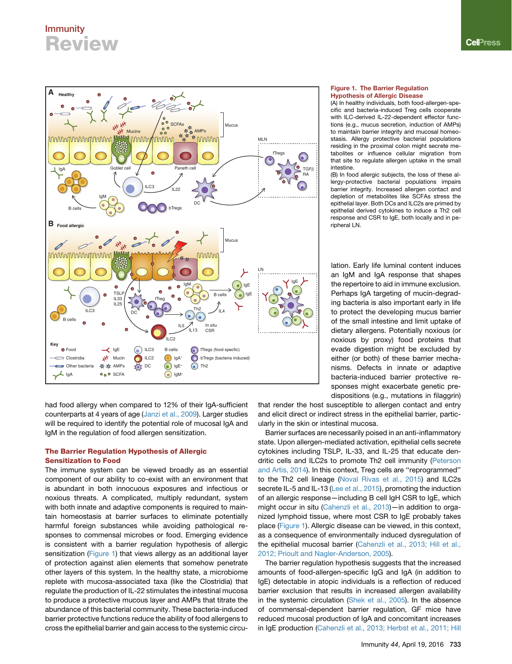<span id="page-5-0"></span>

had food allergy when compared to 12% of their IgA-sufficient counterparts at 4 years of age [\(Janzi et al., 2009\)](#page-8-21). Larger studies will be required to identify the potential role of mucosal IgA and IgM in the regulation of food allergen sensitization.

### The Barrier Regulation Hypothesis of Allergic Sensitization to Food

The immune system can be viewed broadly as an essential component of our ability to co-exist with an environment that is abundant in both innocuous exposures and infectious or noxious threats. A complicated, multiply redundant, system with both innate and adaptive components is required to maintain homeostasis at barrier surfaces to eliminate potentially harmful foreign substances while avoiding pathological responses to commensal microbes or food. Emerging evidence is consistent with a barrier regulation hypothesis of allergic sensitization ([Figure 1](#page-5-0)) that views allergy as an additional layer of protection against alien elements that somehow penetrate other layers of this system. In the healthy state, a microbiome replete with mucosa-associated taxa (like the Clostridia) that regulate the production of IL-22 stimulates the intestinal mucosa to produce a protective mucous layer and AMPs that titrate the abundance of this bacterial community. These bacteria-induced barrier protective functions reduce the ability of food allergens to cross the epithelial barrier and gain access to the systemic circu-

### Figure 1. The Barrier Regulation Hypothesis of Allergic Disease

(A) In healthy individuals, both food-allergen-specific and bacteria-induced Treg cells cooperate with ILC-derived IL-22-dependent effector functions (e.g., mucus secretion, induction of AMPs) to maintain barrier integrity and mucosal homeostasis. Allergy protective bacterial populations residing in the proximal colon might secrete metabolites or influence cellular migration from that site to regulate allergen uptake in the small intestine.

(B) In food allergic subjects, the loss of these allergy-protective bacterial populations impairs barrier integrity. Increased allergen contact and depletion of metabolites like SCFAs stress the epithelial layer. Both DCs and ILC2s are primed by epithelial derived cytokines to induce a Th2 cell response and CSR to IgE, both locally and in peripheral LN.

lation. Early life luminal content induces an IgM and IgA response that shapes the repertoire to aid in immune exclusion. Perhaps IgA targeting of mucin-degrading bacteria is also important early in life to protect the developing mucus barrier of the small intestine and limit uptake of dietary allergens. Potentially noxious (or noxious by proxy) food proteins that evade digestion might be excluded by either (or both) of these barrier mechanisms. Defects in innate or adaptive bacteria-induced barrier protective responses might exacerbate genetic predispositions (e.g., mutations in filaggrin)

that render the host susceptible to allergen contact and entry and elicit direct or indirect stress in the epithelial barrier, particularly in the skin or intestinal mucosa.

Barrier surfaces are necessarily poised in an anti-inflammatory state. Upon allergen-mediated activation, epithelial cells secrete cytokines including TSLP, IL-33, and IL-25 that educate dendritic cells and ILC2s to promote Th2 cell immunity [\(Peterson](#page-9-18) [and Artis, 2014\)](#page-9-18). In this context, Treg cells are ''reprogrammed'' to the Th2 cell lineage ([Noval Rivas et al., 2015\)](#page-8-22) and ILC2s secrete IL-5 and IL-13 ([Lee et al., 2015](#page-8-23)), promoting the induction of an allergic response—including B cell IgH CSR to IgE, which might occur in situ ([Cahenzli et al., 2013\)](#page-7-19)—in addition to organized lymphoid tissue, where most CSR to IgE probably takes place [\(Figure 1\)](#page-5-0). Allergic disease can be viewed, in this context, as a consequence of environmentally induced dysregulation of the epithelial mucosal barrier ([Cahenzli et al., 2013; Hill et al.,](#page-7-19) [2012; Prioult and Nagler-Anderson, 2005\)](#page-7-19).

The barrier regulation hypothesis suggests that the increased amounts of food-allergen-specific IgG and IgA (in addition to IgE) detectable in atopic individuals is a reflection of reduced barrier exclusion that results in increased allergen availability in the systemic circulation ([Shek et al., 2005](#page-9-19)). In the absence of commensal-dependent barrier regulation, GF mice have reduced mucosal production of IgA and concomitant increases in IgE production ([Cahenzli et al., 2013; Herbst et al., 2011; Hill](#page-7-19)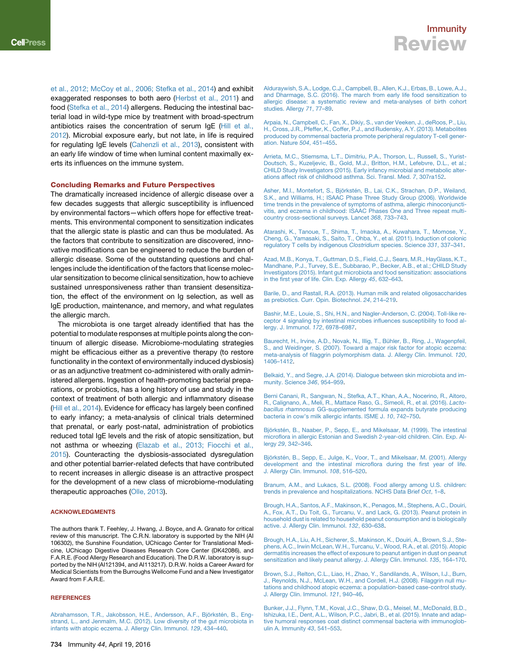[et al., 2012; McCoy et al., 2006; Stefka et al., 2014](#page-7-19)) and exhibit exaggerated responses to both aero ([Herbst et al., 2011](#page-7-29)) and food [\(Stefka et al., 2014\)](#page-9-13) allergens. Reducing the intestinal bacterial load in wild-type mice by treatment with broad-spectrum antibiotics raises the concentration of serum IgE [\(Hill et al.,](#page-7-30) [2012](#page-7-30)). Microbial exposure early, but not late, in life is required for regulating IgE levels [\(Cahenzli et al., 2013\)](#page-7-19), consistent with an early life window of time when luminal content maximally exerts its influences on the immune system.

#### Concluding Remarks and Future Perspectives

The dramatically increased incidence of allergic disease over a few decades suggests that allergic susceptibility is influenced by environmental factors—which offers hope for effective treatments. This environmental component to sensitization indicates that the allergic state is plastic and can thus be modulated. As the factors that contribute to sensitization are discovered, innovative modifications can be engineered to reduce the burden of allergic disease. Some of the outstanding questions and challenges include the identification of the factors that license molecular sensitization to become clinical sensitization, how to achieve sustained unresponsiveness rather than transient desensitization, the effect of the environment on Ig selection, as well as IgE production, maintenance, and memory, and what regulates the allergic march.

The microbiota is one target already identified that has the potential to modulate responses at multiple points along the continuum of allergic disease. Microbiome-modulating strategies might be efficacious either as a preventive therapy (to restore functionality in the context of environmentally induced dysbiosis) or as an adjunctive treatment co-administered with orally administered allergens. Ingestion of health-promoting bacterial preparations, or probiotics, has a long history of use and study in the context of treatment of both allergic and inflammatory disease ([Hill et al., 2014\)](#page-7-31). Evidence for efficacy has largely been confined to early infancy; a meta-analysis of clinical trials determined that prenatal, or early post-natal, administration of probiotics reduced total IgE levels and the risk of atopic sensitization, but not asthma or wheezing ([Elazab et al., 2013; Fiocchi et al.,](#page-7-32) [2015](#page-7-32)). Counteracting the dysbiosis-associated dysregulation and other potential barrier-related defects that have contributed to recent increases in allergic disease is an attractive prospect for the development of a new class of microbiome-modulating therapeutic approaches [\(Olle, 2013\)](#page-8-24).

### ACKNOWLEDGMENTS

The authors thank T. Feehley, J. Hwang, J. Boyce, and A. Granato for critical review of this manuscript. The C.R.N. laboratory is supported by the NIH (AI 106302), the Sunshine Foundation, UChicago Center for Translational Medicine, UChicago Digestive Diseases Research Core Center (DK42086), and F.A.R.E. (Food Allergy Research and Education). The D.R.W. laboratory is supported by the NIH (AI121394, and AI113217). D.R.W. holds a Career Award for Medical Scientists from the Burroughs Wellcome Fund and a New Investigator Award from F.A.R.E.

### **REFERENCES**

Abrahamsson, T.R., Jakobsson, H.E., Andersson, A.F., Björkstén, B., Eng[strand, L., and Jenmalm, M.C. \(2012\). Low diversity of the gut microbiota in](http://refhub.elsevier.com/S1074-7613(16)30017-6/sref1) [infants with atopic eczema. J. Allergy Clin. Immunol.](http://refhub.elsevier.com/S1074-7613(16)30017-6/sref1) *129*, 434–440.

<span id="page-6-1"></span>[Alduraywish, S.A., Lodge, C.J., Campbell, B., Allen, K.J., Erbas, B., Lowe, A.J.,](http://refhub.elsevier.com/S1074-7613(16)30017-6/sref2) [and Dharmage, S.C. \(2016\). The march from early life food sensitization to](http://refhub.elsevier.com/S1074-7613(16)30017-6/sref2) [allergic disease: a systematic review and meta-analyses of birth cohort](http://refhub.elsevier.com/S1074-7613(16)30017-6/sref2) [studies. Allergy](http://refhub.elsevier.com/S1074-7613(16)30017-6/sref2) *71*, 77–89.

<span id="page-6-12"></span>[Arpaia, N., Campbell, C., Fan, X., Dikiy, S., van der Veeken, J., deRoos, P., Liu,](http://refhub.elsevier.com/S1074-7613(16)30017-6/sref3) [H., Cross, J.R., Pfeffer, K., Coffer, P.J., and Rudensky, A.Y. \(2013\). Metabolites](http://refhub.elsevier.com/S1074-7613(16)30017-6/sref3) [produced by commensal bacteria promote peripheral regulatory T-cell gener](http://refhub.elsevier.com/S1074-7613(16)30017-6/sref3)[ation. Nature](http://refhub.elsevier.com/S1074-7613(16)30017-6/sref3) *504*, 451–455.

<span id="page-6-5"></span>[Arrieta, M.C., Stiemsma, L.T., Dimitriu, P.A., Thorson, L., Russell, S., Yurist-](http://refhub.elsevier.com/S1074-7613(16)30017-6/sref4)[Doutsch, S., Kuzeljevic, B., Gold, M.J., Britton, H.M., Lefebvre, D.L., et al.;](http://refhub.elsevier.com/S1074-7613(16)30017-6/sref4) [CHILD Study Investigators \(2015\). Early infancy microbial and metabolic alter](http://refhub.elsevier.com/S1074-7613(16)30017-6/sref4)[ations affect risk of childhood asthma. Sci. Transl. Med.](http://refhub.elsevier.com/S1074-7613(16)30017-6/sref4) *7*, 307ra152.

<span id="page-6-0"></span>Asher, M.I., Montefort, S., Björksté[n, B., Lai, C.K., Strachan, D.P., Weiland,](http://refhub.elsevier.com/S1074-7613(16)30017-6/sref5) [S.K., and Williams, H.; ISAAC Phase Three Study Group \(2006\). Worldwide](http://refhub.elsevier.com/S1074-7613(16)30017-6/sref5) [time trends in the prevalence of symptoms of asthma, allergic rhinoconjuncti-](http://refhub.elsevier.com/S1074-7613(16)30017-6/sref5)[vitis, and eczema in childhood: ISAAC Phases One and Three repeat multi](http://refhub.elsevier.com/S1074-7613(16)30017-6/sref5)[country cross-sectional surveys. Lancet](http://refhub.elsevier.com/S1074-7613(16)30017-6/sref5) *368*, 733–743.

<span id="page-6-11"></span>[Atarashi, K., Tanoue, T., Shima, T., Imaoka, A., Kuwahara, T., Momose, Y.,](http://refhub.elsevier.com/S1074-7613(16)30017-6/sref6) [Cheng, G., Yamasaki, S., Saito, T., Ohba, Y., et al. \(2011\). Induction of colonic](http://refhub.elsevier.com/S1074-7613(16)30017-6/sref6) [regulatory T cells by indigenous](http://refhub.elsevier.com/S1074-7613(16)30017-6/sref6) *Clostridium* species. Science *331*, 337–341.

[Azad, M.B., Konya, T., Guttman, D.S., Field, C.J., Sears, M.R., HayGlass, K.T.,](http://refhub.elsevier.com/S1074-7613(16)30017-6/sref7) [Mandhane, P.J., Turvey, S.E., Subbarao, P., Becker, A.B., et al.; CHILD Study](http://refhub.elsevier.com/S1074-7613(16)30017-6/sref7) [Investigators \(2015\). Infant gut microbiota and food sensitization: associations](http://refhub.elsevier.com/S1074-7613(16)30017-6/sref7) [in the first year of life. Clin. Exp. Allergy](http://refhub.elsevier.com/S1074-7613(16)30017-6/sref7) *45*, 632–643.

<span id="page-6-3"></span>[Barile, D., and Rastall, R.A. \(2013\). Human milk and related oligosaccharides](http://refhub.elsevier.com/S1074-7613(16)30017-6/sref8) [as prebiotics. Curr. Opin. Biotechnol.](http://refhub.elsevier.com/S1074-7613(16)30017-6/sref8) *24*, 214–219.

<span id="page-6-4"></span>[Bashir, M.E., Louie, S., Shi, H.N., and Nagler-Anderson, C. \(2004\). Toll-like re](http://refhub.elsevier.com/S1074-7613(16)30017-6/sref9)[ceptor 4 signaling by intestinal microbes influences susceptibility to food al](http://refhub.elsevier.com/S1074-7613(16)30017-6/sref9)[lergy. J. Immunol.](http://refhub.elsevier.com/S1074-7613(16)30017-6/sref9) *172*, 6978–6987.

<span id="page-6-9"></span>Baurecht, H., Irvine, A.D., Novak, N., Illig, T., Bühler, B., Ring, J., Wagenpfeil, [S., and Weidinger, S. \(2007\). Toward a major risk factor for atopic eczema:](http://refhub.elsevier.com/S1074-7613(16)30017-6/sref10) [meta-analysis of filaggrin polymorphism data. J. Allergy Clin. Immunol.](http://refhub.elsevier.com/S1074-7613(16)30017-6/sref10) *120*, [1406–1412](http://refhub.elsevier.com/S1074-7613(16)30017-6/sref10).

<span id="page-6-8"></span><span id="page-6-7"></span>[Belkaid, Y., and Segre, J.A. \(2014\). Dialogue between skin microbiota and im](http://refhub.elsevier.com/S1074-7613(16)30017-6/sref11)[munity. Science](http://refhub.elsevier.com/S1074-7613(16)30017-6/sref11) *346*, 954–959.

[Berni Canani, R., Sangwan, N., Stefka, A.T., Khan, A.A., Nocerino, R., Aitoro,](http://refhub.elsevier.com/S1074-7613(16)30017-6/sref12) [R., Calignano, A., Meli, R., Mattace Raso, G., Simeoli, R., et al. \(2016\).](http://refhub.elsevier.com/S1074-7613(16)30017-6/sref12) *Lactobacillus rhamnosus* [GG-supplemented formula expands butyrate producing](http://refhub.elsevier.com/S1074-7613(16)30017-6/sref12) [bacteria in cow's milk allergic infants. ISME J.](http://refhub.elsevier.com/S1074-7613(16)30017-6/sref12) *10*, 742–750.

<span id="page-6-6"></span>Björksté[n, B., Naaber, P., Sepp, E., and Mikelsaar, M. \(1999\). The intestinal](http://refhub.elsevier.com/S1074-7613(16)30017-6/sref13) [microflora in allergic Estonian and Swedish 2-year-old children. Clin. Exp. Al](http://refhub.elsevier.com/S1074-7613(16)30017-6/sref13)lergy *29*[, 342–346](http://refhub.elsevier.com/S1074-7613(16)30017-6/sref13).

<span id="page-6-2"></span>Björksté[n, B., Sepp, E., Julge, K., Voor, T., and Mikelsaar, M. \(2001\). Allergy](http://refhub.elsevier.com/S1074-7613(16)30017-6/sref14) [development and the intestinal microflora during the first year of life.](http://refhub.elsevier.com/S1074-7613(16)30017-6/sref14) [J. Allergy Clin. Immunol.](http://refhub.elsevier.com/S1074-7613(16)30017-6/sref14) *108*, 516–520.

<span id="page-6-10"></span>[Branum, A.M., and Lukacs, S.L. \(2008\). Food allergy among U.S. children:](http://refhub.elsevier.com/S1074-7613(16)30017-6/sref15) [trends in prevalence and hospitalizations. NCHS Data Brief](http://refhub.elsevier.com/S1074-7613(16)30017-6/sref15) *Oct*, 1–8.

[Brough, H.A., Santos, A.F., Makinson, K., Penagos, M., Stephens, A.C., Douiri,](http://refhub.elsevier.com/S1074-7613(16)30017-6/sref16) [A., Fox, A.T., Du Toit, G., Turcanu, V., and Lack, G. \(2013\). Peanut protein in](http://refhub.elsevier.com/S1074-7613(16)30017-6/sref16) [household dust is related to household peanut consumption and is biologically](http://refhub.elsevier.com/S1074-7613(16)30017-6/sref16) [active. J. Allergy Clin. Immunol.](http://refhub.elsevier.com/S1074-7613(16)30017-6/sref16) *132*, 630–638.

[Brough, H.A., Liu, A.H., Sicherer, S., Makinson, K., Douiri, A., Brown, S.J., Ste](http://refhub.elsevier.com/S1074-7613(16)30017-6/sref17)[phens, A.C., Irwin McLean, W.H., Turcanu, V., Wood, R.A., et al. \(2015\). Atopic](http://refhub.elsevier.com/S1074-7613(16)30017-6/sref17) [dermatitis increases the effect of exposure to peanut antigen in dust on peanut](http://refhub.elsevier.com/S1074-7613(16)30017-6/sref17) [sensitization and likely peanut allergy. J. Allergy Clin. Immunol.](http://refhub.elsevier.com/S1074-7613(16)30017-6/sref17) *135*, 164–170.

<span id="page-6-13"></span>[Brown, S.J., Relton, C.L., Liao, H., Zhao, Y., Sandilands, A., Wilson, I.J., Burn,](http://refhub.elsevier.com/S1074-7613(16)30017-6/sref18) [J., Reynolds, N.J., McLean, W.H., and Cordell, H.J. \(2008\). Filaggrin null mu](http://refhub.elsevier.com/S1074-7613(16)30017-6/sref18)[tations and childhood atopic eczema: a population-based case-control study.](http://refhub.elsevier.com/S1074-7613(16)30017-6/sref18) [J. Allergy Clin. Immunol.](http://refhub.elsevier.com/S1074-7613(16)30017-6/sref18) *121*, 940–46.

[Bunker, J.J., Flynn, T.M., Koval, J.C., Shaw, D.G., Meisel, M., McDonald, B.D.,](http://refhub.elsevier.com/S1074-7613(16)30017-6/sref19) [Ishizuka, I.E., Dent, A.L., Wilson, P.C., Jabri, B., et al. \(2015\). Innate and adap](http://refhub.elsevier.com/S1074-7613(16)30017-6/sref19)[tive humoral responses coat distinct commensal bacteria with immunoglob](http://refhub.elsevier.com/S1074-7613(16)30017-6/sref19)[ulin A. Immunity](http://refhub.elsevier.com/S1074-7613(16)30017-6/sref19) *43*, 541–553.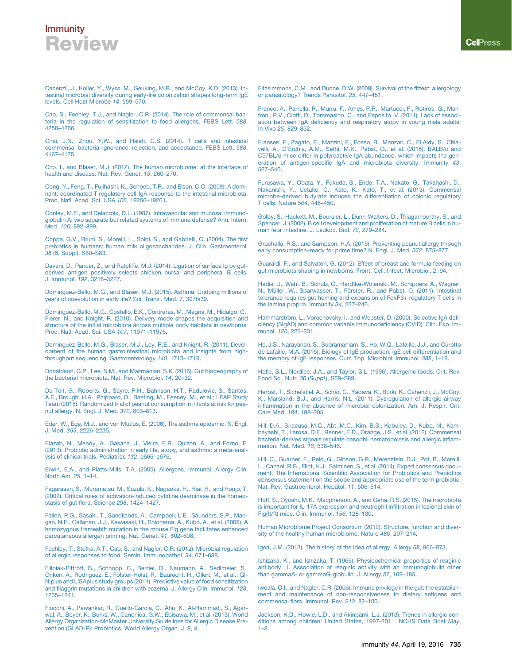<span id="page-7-19"></span>Cahenzli, J., Kö[ller, Y., Wyss, M., Geuking, M.B., and McCoy, K.D. \(2013\). In](http://refhub.elsevier.com/S1074-7613(16)30017-6/sref20)[testinal microbial diversity during early-life colonization shapes long-term IgE](http://refhub.elsevier.com/S1074-7613(16)30017-6/sref20) [levels. Cell Host Microbe](http://refhub.elsevier.com/S1074-7613(16)30017-6/sref20) *14*, 559–570.

<span id="page-7-17"></span>[Cao, S., Feehley, T.J., and Nagler, C.R. \(2014\). The role of commensal bac](http://refhub.elsevier.com/S1074-7613(16)30017-6/sref21)[teria in the regulation of sensitization to food allergens. FEBS Lett.](http://refhub.elsevier.com/S1074-7613(16)30017-6/sref21) *588*, [4258–4266](http://refhub.elsevier.com/S1074-7613(16)30017-6/sref21).

<span id="page-7-20"></span>[Chai, J.N., Zhou, Y.W., and Hsieh, C.S. \(2014\). T cells and intestinal](http://refhub.elsevier.com/S1074-7613(16)30017-6/sref22) [commensal bacteria–ignorance, rejection, and acceptance. FEBS Lett.](http://refhub.elsevier.com/S1074-7613(16)30017-6/sref22) *588*, [4167–4175](http://refhub.elsevier.com/S1074-7613(16)30017-6/sref22).

<span id="page-7-6"></span>[Cho, I., and Blaser, M.J. \(2012\). The human microbiome: at the interface of](http://refhub.elsevier.com/S1074-7613(16)30017-6/sref23) [health and disease. Nat. Rev. Genet.](http://refhub.elsevier.com/S1074-7613(16)30017-6/sref23) *13*, 260–270.

<span id="page-7-25"></span>[Cong, Y., Feng, T., Fujihashi, K., Schoeb, T.R., and Elson, C.O. \(2009\). A domi](http://refhub.elsevier.com/S1074-7613(16)30017-6/sref24)[nant, coordinated T regulatory cell-IgA response to the intestinal microbiota.](http://refhub.elsevier.com/S1074-7613(16)30017-6/sref24) [Proc. Natl. Acad. Sci. USA](http://refhub.elsevier.com/S1074-7613(16)30017-6/sref24) *106*, 19256–19261.

<span id="page-7-23"></span>[Conley, M.E., and Delacroix, D.L. \(1987\). Intravascular and mucosal immuno](http://refhub.elsevier.com/S1074-7613(16)30017-6/sref25)[globulin A: two separate but related systems of immune defense? Ann. Intern.](http://refhub.elsevier.com/S1074-7613(16)30017-6/sref25) Med. *106*[, 892–899](http://refhub.elsevier.com/S1074-7613(16)30017-6/sref25).

[Coppa, G.V., Bruni, S., Morelli, L., Soldi, S., and Gabrielli, O. \(2004\). The first](http://refhub.elsevier.com/S1074-7613(16)30017-6/sref26) [prebiotics in humans: human milk oligosaccharides. J. Clin. Gastroenterol.](http://refhub.elsevier.com/S1074-7613(16)30017-6/sref26) *38* [\(6, Suppl\), S80–S83](http://refhub.elsevier.com/S1074-7613(16)30017-6/sref26).

<span id="page-7-21"></span>[Davani, D., Pancer, Z., and Ratcliffe, M.J. \(2014\). Ligation of surface Ig by gut](http://refhub.elsevier.com/S1074-7613(16)30017-6/sref27)[derived antigen positively selects chicken bursal and peripheral B cells.](http://refhub.elsevier.com/S1074-7613(16)30017-6/sref27) J. Immunol. *192*[, 3218–3227](http://refhub.elsevier.com/S1074-7613(16)30017-6/sref27).

[Dominguez-Bello, M.G., and Blaser, M.J. \(2015\). Asthma: Undoing millions of](http://refhub.elsevier.com/S1074-7613(16)30017-6/sref28) [years of coevolution in early life? Sci. Transl. Med.](http://refhub.elsevier.com/S1074-7613(16)30017-6/sref28) *7*, 307fs39.

<span id="page-7-8"></span>[Dominguez-Bello, M.G., Costello, E.K., Contreras, M., Magris, M., Hidalgo, G.,](http://refhub.elsevier.com/S1074-7613(16)30017-6/sref29) [Fierer, N., and Knight, R. \(2010\). Delivery mode shapes the acquisition and](http://refhub.elsevier.com/S1074-7613(16)30017-6/sref29) [structure of the initial microbiota across multiple body habitats in newborns.](http://refhub.elsevier.com/S1074-7613(16)30017-6/sref29) [Proc. Natl. Acad. Sci. USA](http://refhub.elsevier.com/S1074-7613(16)30017-6/sref29) *107*, 11971–11975.

<span id="page-7-10"></span>[Dominguez-Bello, M.G., Blaser, M.J., Ley, R.E., and Knight, R. \(2011\). Devel](http://refhub.elsevier.com/S1074-7613(16)30017-6/sref30)[opment of the human gastrointestinal microbiota and insights from high](http://refhub.elsevier.com/S1074-7613(16)30017-6/sref30)[throughput sequencing. Gastroenterology](http://refhub.elsevier.com/S1074-7613(16)30017-6/sref30) *140*, 1713–1719.

<span id="page-7-7"></span>[Donaldson, G.P., Lee, S.M., and Mazmanian, S.K. \(2016\). Gut biogeography of](http://refhub.elsevier.com/S1074-7613(16)30017-6/sref31) [the bacterial microbiota. Nat. Rev. Microbiol.](http://refhub.elsevier.com/S1074-7613(16)30017-6/sref31) *14*, 20–32.

<span id="page-7-16"></span>[Du Toit, G., Roberts, G., Sayre, P.H., Bahnson, H.T., Radulovic, S., Santos,](http://refhub.elsevier.com/S1074-7613(16)30017-6/sref32) [A.F., Brough, H.A., Phippard, D., Basting, M., Feeney, M., et al.; LEAP Study](http://refhub.elsevier.com/S1074-7613(16)30017-6/sref32) [Team \(2015\). Randomized trial of peanut consumption in infants at risk for pea](http://refhub.elsevier.com/S1074-7613(16)30017-6/sref32)[nut allergy. N. Engl. J. Med.](http://refhub.elsevier.com/S1074-7613(16)30017-6/sref32) *372*, 803–813.

<span id="page-7-0"></span>[Eder, W., Ege, M.J., and von Mutius, E. \(2006\). The asthma epidemic. N. Engl.](http://refhub.elsevier.com/S1074-7613(16)30017-6/sref33) J. Med. *355*[, 2226–2235](http://refhub.elsevier.com/S1074-7613(16)30017-6/sref33).

<span id="page-7-32"></span>[Elazab, N., Mendy, A., Gasana, J., Vieira, E.R., Quizon, A., and Forno, E.](http://refhub.elsevier.com/S1074-7613(16)30017-6/sref34) [\(2013\). Probiotic administration in early life, atopy, and asthma: a meta-anal](http://refhub.elsevier.com/S1074-7613(16)30017-6/sref34)[ysis of clinical trials. Pediatrics](http://refhub.elsevier.com/S1074-7613(16)30017-6/sref34) *132*, e666–e676.

<span id="page-7-5"></span>[Erwin, E.A., and Platts-Mills, T.A. \(2005\). Allergens. Immunol. Allergy Clin.](http://refhub.elsevier.com/S1074-7613(16)30017-6/sref35) [North Am.](http://refhub.elsevier.com/S1074-7613(16)30017-6/sref35) *25*, 1–14.

<span id="page-7-24"></span>[Fagarasan, S., Muramatsu, M., Suzuki, K., Nagaoka, H., Hiai, H., and Honjo, T.](http://refhub.elsevier.com/S1074-7613(16)30017-6/sref36) [\(2002\). Critical roles of activation-induced cytidine deaminase in the homeo](http://refhub.elsevier.com/S1074-7613(16)30017-6/sref36)[stasis of gut flora. Science](http://refhub.elsevier.com/S1074-7613(16)30017-6/sref36) *298*, 1424–1427.

<span id="page-7-11"></span>[Fallon, P.G., Sasaki, T., Sandilands, A., Campbell, L.E., Saunders, S.P., Man](http://refhub.elsevier.com/S1074-7613(16)30017-6/sref37)[gan, N.E., Callanan, J.J., Kawasaki, H., Shiohama, A., Kubo, A., et al. \(2009\). A](http://refhub.elsevier.com/S1074-7613(16)30017-6/sref37) [homozygous frameshift mutation in the mouse Flg gene facilitates enhanced](http://refhub.elsevier.com/S1074-7613(16)30017-6/sref37) [percutaneous allergen priming. Nat. Genet.](http://refhub.elsevier.com/S1074-7613(16)30017-6/sref37) *41*, 602–608.

[Feehley, T., Stefka, A.T., Cao, S., and Nagler, C.R. \(2012\). Microbial regulation](http://refhub.elsevier.com/S1074-7613(16)30017-6/sref38) [of allergic responses to food. Semin. Immunopathol.](http://refhub.elsevier.com/S1074-7613(16)30017-6/sref38) *34*, 671–688.

[Filipiak-Pittroff, B., Schnopp, C., Berdel, D., Naumann, A., Sedlmeier, S.,](http://refhub.elsevier.com/S1074-7613(16)30017-6/sref39) Onken, A., Rodriguez, E., Fö[lster-Holst, R., Baurecht, H., Ollert, M., et al.; GI-](http://refhub.elsevier.com/S1074-7613(16)30017-6/sref39)[NIplus and LISAplus study groups \(2011\). Predictive value of food sensitization](http://refhub.elsevier.com/S1074-7613(16)30017-6/sref39) [and filaggrin mutations in children with eczema. J. Allergy Clin. Immunol.](http://refhub.elsevier.com/S1074-7613(16)30017-6/sref39) *128*, [1235–1241](http://refhub.elsevier.com/S1074-7613(16)30017-6/sref39).

[Fiocchi, A., Pawankar, R., Cuello-Garcia, C., Ahn, K., Al-Hammadi, S., Agar](http://refhub.elsevier.com/S1074-7613(16)30017-6/sref40)[wal, A., Beyer, K., Burks, W., Canonica, G.W., Ebisawa, M., et al. \(2015\). World](http://refhub.elsevier.com/S1074-7613(16)30017-6/sref40) [Allergy Organization-McMaster University Guidelines for Allergic Disease Pre](http://refhub.elsevier.com/S1074-7613(16)30017-6/sref40)[vention \(GLAD-P\): Probiotics. World Allergy Organ. J.](http://refhub.elsevier.com/S1074-7613(16)30017-6/sref40) *8*, 4.

<span id="page-7-4"></span>[Fitzsimmons, C.M., and Dunne, D.W. \(2009\). Survival of the fittest: allergology](http://refhub.elsevier.com/S1074-7613(16)30017-6/sref41) [or parasitology? Trends Parasitol.](http://refhub.elsevier.com/S1074-7613(16)30017-6/sref41) *25*, 447–451.

<span id="page-7-28"></span>[Franco, A., Parrella, R., Murru, F., Ames, P.R., Martucci, F., Rotiroti, G., Man](http://refhub.elsevier.com/S1074-7613(16)30017-6/sref42)[froni, P.V., Cioffi, D., Tommasino, C., and Esposito, V. \(2011\). Lack of associ](http://refhub.elsevier.com/S1074-7613(16)30017-6/sref42)[ation between IgA deficiency and respiratory atopy in young male adults.](http://refhub.elsevier.com/S1074-7613(16)30017-6/sref42) In Vivo *25*[, 829–832](http://refhub.elsevier.com/S1074-7613(16)30017-6/sref42).

<span id="page-7-26"></span>[Fransen, F., Zagato, E., Mazzini, E., Fosso, B., Manzari, C., El Aidy, S., Chia](http://refhub.elsevier.com/S1074-7613(16)30017-6/sref43)[velli, A., D'Erchia, A.M., Sethi, M.K., Pabst, O., et al. \(2015\). BALB/c and](http://refhub.elsevier.com/S1074-7613(16)30017-6/sref43) [C57BL/6 mice differ in polyreactive IgA abundance, which impacts the gen](http://refhub.elsevier.com/S1074-7613(16)30017-6/sref43)[eration of antigen-specific IgA and microbiota diversity. Immunity](http://refhub.elsevier.com/S1074-7613(16)30017-6/sref43) *43*, [527–540.](http://refhub.elsevier.com/S1074-7613(16)30017-6/sref43)

[Furusawa, Y., Obata, Y., Fukuda, S., Endo, T.A., Nakato, G., Takahashi, D.,](http://refhub.elsevier.com/S1074-7613(16)30017-6/sref44) [Nakanishi, Y., Uetake, C., Kato, K., Kato, T., et al. \(2013\). Commensal](http://refhub.elsevier.com/S1074-7613(16)30017-6/sref44) [microbe-derived butyrate induces the differentiation of colonic regulatory](http://refhub.elsevier.com/S1074-7613(16)30017-6/sref44) [T cells. Nature](http://refhub.elsevier.com/S1074-7613(16)30017-6/sref44) *504*, 446–450.

<span id="page-7-22"></span>[Golby, S., Hackett, M., Boursier, L., Dunn-Walters, D., Thiagamoorthy, S., and](http://refhub.elsevier.com/S1074-7613(16)30017-6/sref45) [Spencer, J. \(2002\). B cell development and proliferation of mature B cells in hu](http://refhub.elsevier.com/S1074-7613(16)30017-6/sref45)[man fetal intestine. J. Leukoc. Biol.](http://refhub.elsevier.com/S1074-7613(16)30017-6/sref45) *72*, 279–284.

<span id="page-7-15"></span>[Gruchalla, R.S., and Sampson, H.A. \(2015\). Preventing peanut allergy through](http://refhub.elsevier.com/S1074-7613(16)30017-6/sref46) [early consumption–ready for prime time? N. Engl. J. Med.](http://refhub.elsevier.com/S1074-7613(16)30017-6/sref46) *372*, 875–877.

<span id="page-7-9"></span>[Guaraldi, F., and Salvatori, G. \(2012\). Effect of breast and formula feeding on](http://refhub.elsevier.com/S1074-7613(16)30017-6/sref47) [gut microbiota shaping in newborns. Front. Cell. Infect. Microbiol.](http://refhub.elsevier.com/S1074-7613(16)30017-6/sref47) *2*, 94.

<span id="page-7-14"></span>[Hadis, U., Wahl, B., Schulz, O., Hardtke-Wolenski, M., Schippers, A., Wagner,](http://refhub.elsevier.com/S1074-7613(16)30017-6/sref48) N., Müller, W., Sparwasser, T., Fö[rster, R., and Pabst, O. \(2011\). Intestinal](http://refhub.elsevier.com/S1074-7613(16)30017-6/sref48) [tolerance requires gut homing and expansion of FoxP3+ regulatory T cells in](http://refhub.elsevier.com/S1074-7613(16)30017-6/sref48) [the lamina propria. Immunity](http://refhub.elsevier.com/S1074-7613(16)30017-6/sref48) *34*, 237–246.

<span id="page-7-27"></span>Hammarströ[m, L., Vorechovsky, I., and Webster, D. \(2000\). Selective IgA defi](http://refhub.elsevier.com/S1074-7613(16)30017-6/sref49)[ciency \(SIgAD\) and common variable immunodeficiency \(CVID\). Clin. Exp. Im](http://refhub.elsevier.com/S1074-7613(16)30017-6/sref49)munol. *120*[, 225–231](http://refhub.elsevier.com/S1074-7613(16)30017-6/sref49).

<span id="page-7-18"></span>[He, J.S., Narayanan, S., Subramaniam, S., Ho, W.Q., Lafaille, J.J., and Curotto](http://refhub.elsevier.com/S1074-7613(16)30017-6/sref50) [de Lafaille, M.A. \(2015\). Biology of IgE production: IgE cell differentiation and](http://refhub.elsevier.com/S1074-7613(16)30017-6/sref50) [the memory of IgE responses. Curr. Top. Microbiol. Immunol.](http://refhub.elsevier.com/S1074-7613(16)30017-6/sref50) *388*, 1–19.

<span id="page-7-1"></span>[Hefle, S.L., Nordlee, J.A., and Taylor, S.L. \(1996\). Allergenic foods. Crit. Rev.](http://refhub.elsevier.com/S1074-7613(16)30017-6/sref51) [Food Sci. Nutr.](http://refhub.elsevier.com/S1074-7613(16)30017-6/sref51) *36* (*Suppl* ), S69–S89.

<span id="page-7-29"></span>Herbst, T., Sichelstiel, A., Schär, C., Yadava, K., Bürki, K., Cahenzli, J., McCoy,<br>[K., Marsland, B.J., and Harris, N.L. \(2011\). Dysregulation of allergic airway](http://refhub.elsevier.com/S1074-7613(16)30017-6/sref52) [inflammation in the absence of microbial colonization. Am. J. Respir. Crit.](http://refhub.elsevier.com/S1074-7613(16)30017-6/sref52) [Care Med.](http://refhub.elsevier.com/S1074-7613(16)30017-6/sref52) *184*, 198–205.

<span id="page-7-30"></span>[Hill, D.A., Siracusa, M.C., Abt, M.C., Kim, B.S., Kobuley, D., Kubo, M., Kam-](http://refhub.elsevier.com/S1074-7613(16)30017-6/sref53)[bayashi, T., Larosa, D.F., Renner, E.D., Orange, J.S., et al. \(2012\). Commensal](http://refhub.elsevier.com/S1074-7613(16)30017-6/sref53) [bacteria-derived signals regulate basophil hematopoiesis and allergic inflam](http://refhub.elsevier.com/S1074-7613(16)30017-6/sref53)[mation. Nat. Med.](http://refhub.elsevier.com/S1074-7613(16)30017-6/sref53) *18*, 538–546.

<span id="page-7-31"></span>[Hill, C., Guarner, F., Reid, G., Gibson, G.R., Merenstein, D.J., Pot, B., Morelli,](http://refhub.elsevier.com/S1074-7613(16)30017-6/sref54) [L., Canani, R.B., Flint, H.J., Salminen, S., et al. \(2014\). Expert consensus docu](http://refhub.elsevier.com/S1074-7613(16)30017-6/sref54)[ment. The International Scientific Association for Probiotics and Prebiotics](http://refhub.elsevier.com/S1074-7613(16)30017-6/sref54) [consensus statement on the scope and appropriate use of the term probiotic.](http://refhub.elsevier.com/S1074-7613(16)30017-6/sref54) [Nat. Rev. Gastroenterol. Hepatol.](http://refhub.elsevier.com/S1074-7613(16)30017-6/sref54) *11*, 506–514.

<span id="page-7-12"></span>[Hoff, S., Oyoshi, M.K., Macpherson, A., and Geha, R.S. \(2015\). The microbiota](http://refhub.elsevier.com/S1074-7613(16)30017-6/sref55) [is important for IL-17A expression and neutrophil infiltration in lesional skin of](http://refhub.elsevier.com/S1074-7613(16)30017-6/sref55) [Flg\(ft/ft\) mice. Clin. Immunol.](http://refhub.elsevier.com/S1074-7613(16)30017-6/sref55) *156*, 128–130.

<span id="page-7-2"></span>[Human Microbiome Project Consortium \(2012\). Structure, function and diver](http://refhub.elsevier.com/S1074-7613(16)30017-6/sref56)[sity of the healthy human microbiome. Nature](http://refhub.elsevier.com/S1074-7613(16)30017-6/sref56) *486*, 207–214.

<span id="page-7-3"></span>[Igea, J.M. \(2013\). The history of the idea of allergy. Allergy](http://refhub.elsevier.com/S1074-7613(16)30017-6/sref57) *68*, 966–973.

<span id="page-7-13"></span>[Ishizaka, K., and Ishizaka, T. \(1966\). Physicochemical properties of reaginic](http://refhub.elsevier.com/S1074-7613(16)30017-6/sref58) [antibody. 1. Association of reaginic activity with an immunoglobulin other](http://refhub.elsevier.com/S1074-7613(16)30017-6/sref58) [than gammaA- or gammaG-globulin. J. Allergy](http://refhub.elsevier.com/S1074-7613(16)30017-6/sref58) *37*, 169–185.

[Iweala, O.I., and Nagler, C.R. \(2006\). Immune privilege in the gut: the establish](http://refhub.elsevier.com/S1074-7613(16)30017-6/sref59)[ment and maintenance of non-responsiveness to dietary antigens and](http://refhub.elsevier.com/S1074-7613(16)30017-6/sref59) [commensal flora. Immunol. Rev.](http://refhub.elsevier.com/S1074-7613(16)30017-6/sref59) *213*, 82–100.

[Jackson, K.D., Howie, L.D., and Akinbami, L.J. \(2013\). Trends in allergic con](http://refhub.elsevier.com/S1074-7613(16)30017-6/sref60)[ditions among children: United States, 1997-2011. NCHS Data Brief](http://refhub.elsevier.com/S1074-7613(16)30017-6/sref60) *May*, [1–8](http://refhub.elsevier.com/S1074-7613(16)30017-6/sref60).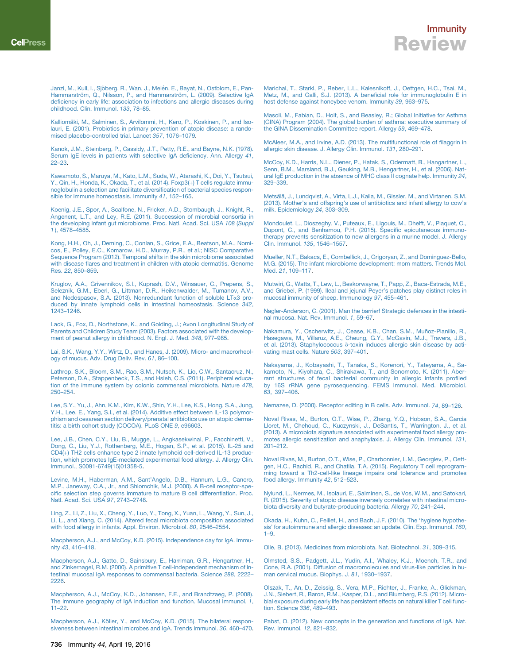<span id="page-8-21"></span>Kalliomä[ki, M., Salminen, S., Arvilommi, H., Kero, P., Koskinen, P., and Iso](http://refhub.elsevier.com/S1074-7613(16)30017-6/sref62)[lauri, E. \(2001\). Probiotics in primary prevention of atopic disease: a rando](http://refhub.elsevier.com/S1074-7613(16)30017-6/sref62)[mised placebo-controlled trial. Lancet](http://refhub.elsevier.com/S1074-7613(16)30017-6/sref62) *357*, 1076–1079.

[Kanok, J.M., Steinberg, P., Cassidy, J.T., Petty, R.E., and Bayne, N.K. \(1978\).](http://refhub.elsevier.com/S1074-7613(16)30017-6/sref63) [Serum IgE levels in patients with selective IgA deficiency. Ann. Allergy](http://refhub.elsevier.com/S1074-7613(16)30017-6/sref63) *41*, [22–23.](http://refhub.elsevier.com/S1074-7613(16)30017-6/sref63)

[Kawamoto, S., Maruya, M., Kato, L.M., Suda, W., Atarashi, K., Doi, Y., Tsutsui,](http://refhub.elsevier.com/S1074-7613(16)30017-6/sref64) [Y., Qin, H., Honda, K., Okada, T., et al. \(2014\). Foxp3\(+\) T cells regulate immu](http://refhub.elsevier.com/S1074-7613(16)30017-6/sref64)[noglobulin a selection and facilitate diversification of bacterial species respon](http://refhub.elsevier.com/S1074-7613(16)30017-6/sref64)[sible for immune homeostasis. Immunity](http://refhub.elsevier.com/S1074-7613(16)30017-6/sref64) *41*, 152–165.

<span id="page-8-1"></span>[Koenig, J.E., Spor, A., Scalfone, N., Fricker, A.D., Stombaugh, J., Knight, R.,](http://refhub.elsevier.com/S1074-7613(16)30017-6/sref65) [Angenent, L.T., and Ley, R.E. \(2011\). Succession of microbial consortia in](http://refhub.elsevier.com/S1074-7613(16)30017-6/sref65) [the developing infant gut microbiome. Proc. Natl. Acad. Sci. USA](http://refhub.elsevier.com/S1074-7613(16)30017-6/sref65) *108* (*Suppl [1](http://refhub.elsevier.com/S1074-7613(16)30017-6/sref65)* [\), 4578–4585.](http://refhub.elsevier.com/S1074-7613(16)30017-6/sref65)

<span id="page-8-6"></span>[Kong, H.H., Oh, J., Deming, C., Conlan, S., Grice, E.A., Beatson, M.A., Nomi](http://refhub.elsevier.com/S1074-7613(16)30017-6/sref66)[cos, E., Polley, E.C., Komarow, H.D., Murray, P.R., et al.; NISC Comparative](http://refhub.elsevier.com/S1074-7613(16)30017-6/sref66) [Sequence Program \(2012\). Temporal shifts in the skin microbiome associated](http://refhub.elsevier.com/S1074-7613(16)30017-6/sref66) [with disease flares and treatment in children with atopic dermatitis. Genome](http://refhub.elsevier.com/S1074-7613(16)30017-6/sref66) Res. *22*[, 850–859](http://refhub.elsevier.com/S1074-7613(16)30017-6/sref66).

<span id="page-8-18"></span>[Kruglov, A.A., Grivennikov, S.I., Kuprash, D.V., Winsauer, C., Prepens, S.,](http://refhub.elsevier.com/S1074-7613(16)30017-6/sref67) [Seleznik, G.M., Eberl, G., Littman, D.R., Heikenwalder, M., Tumanov, A.V.,](http://refhub.elsevier.com/S1074-7613(16)30017-6/sref67) [and Nedospasov, S.A. \(2013\). Nonredundant function of soluble LT](http://refhub.elsevier.com/S1074-7613(16)30017-6/sref67)a3 pro[duced by innate lymphoid cells in intestinal homeostasis. Science](http://refhub.elsevier.com/S1074-7613(16)30017-6/sref67) *342*, [1243–1246](http://refhub.elsevier.com/S1074-7613(16)30017-6/sref67).

<span id="page-8-8"></span>[Lack, G., Fox, D., Northstone, K., and Golding, J.; Avon Longitudinal Study of](http://refhub.elsevier.com/S1074-7613(16)30017-6/sref68) [Parents and Children Study Team \(2003\). Factors associated with the develop](http://refhub.elsevier.com/S1074-7613(16)30017-6/sref68)[ment of peanut allergy in childhood. N. Engl. J. Med.](http://refhub.elsevier.com/S1074-7613(16)30017-6/sref68) *348*, 977–985.

<span id="page-8-19"></span>[Lai, S.K., Wang, Y.Y., Wirtz, D., and Hanes, J. \(2009\). Micro- and macrorheol](http://refhub.elsevier.com/S1074-7613(16)30017-6/sref69)[ogy of mucus. Adv. Drug Deliv. Rev.](http://refhub.elsevier.com/S1074-7613(16)30017-6/sref69) *61*, 86–100.

<span id="page-8-10"></span>[Lathrop, S.K., Bloom, S.M., Rao, S.M., Nutsch, K., Lio, C.W., Santacruz, N.,](http://refhub.elsevier.com/S1074-7613(16)30017-6/sref70) [Peterson, D.A., Stappenbeck, T.S., and Hsieh, C.S. \(2011\). Peripheral educa](http://refhub.elsevier.com/S1074-7613(16)30017-6/sref70)[tion of the immune system by colonic commensal microbiota. Nature](http://refhub.elsevier.com/S1074-7613(16)30017-6/sref70) *478*, [250–254](http://refhub.elsevier.com/S1074-7613(16)30017-6/sref70).

<span id="page-8-2"></span>[Lee, S.Y., Yu, J., Ahn, K.M., Kim, K.W., Shin, Y.H., Lee, K.S., Hong, S.A., Jung,](http://refhub.elsevier.com/S1074-7613(16)30017-6/sref71) [Y.H., Lee, E., Yang, S.I., et al. \(2014\). Additive effect between IL-13 polymor-](http://refhub.elsevier.com/S1074-7613(16)30017-6/sref71)[phism and cesarean section delivery/prenatal antibiotics use on atopic derma](http://refhub.elsevier.com/S1074-7613(16)30017-6/sref71)[titis: a birth cohort study \(COCOA\). PLoS ONE](http://refhub.elsevier.com/S1074-7613(16)30017-6/sref71) *9*, e96603.

<span id="page-8-23"></span>[Lee, J.B., Chen, C.Y., Liu, B., Mugge, L., Angkasekwinai, P., Facchinetti, V.,](http://refhub.elsevier.com/S1074-7613(16)30017-6/sref72) [Dong, C., Liu, Y.J., Rothenberg, M.E., Hogan, S.P., et al. \(2015\). IL-25 and](http://refhub.elsevier.com/S1074-7613(16)30017-6/sref72) [CD4\(+\) TH2 cells enhance type 2 innate lymphoid cell-derived IL-13 produc](http://refhub.elsevier.com/S1074-7613(16)30017-6/sref72)[tion, which promotes IgE-mediated experimental food allergy. J. Allergy Clin.](http://refhub.elsevier.com/S1074-7613(16)30017-6/sref72) [Immunol., S0091-6749\(15\)01358-5.](http://refhub.elsevier.com/S1074-7613(16)30017-6/sref72)

<span id="page-8-12"></span>[Levine, M.H., Haberman, A.M., Sant'Angelo, D.B., Hannum, L.G., Cancro,](http://refhub.elsevier.com/S1074-7613(16)30017-6/sref73) [M.P., Janeway, C.A., Jr., and Shlomchik, M.J. \(2000\). A B-cell receptor-spe](http://refhub.elsevier.com/S1074-7613(16)30017-6/sref73)[cific selection step governs immature to mature B cell differentiation. Proc.](http://refhub.elsevier.com/S1074-7613(16)30017-6/sref73) [Natl. Acad. Sci. USA](http://refhub.elsevier.com/S1074-7613(16)30017-6/sref73) *97*, 2743–2748.

[Ling, Z., Li, Z., Liu, X., Cheng, Y., Luo, Y., Tong, X., Yuan, L., Wang, Y., Sun, J.,](http://refhub.elsevier.com/S1074-7613(16)30017-6/sref74) [Li, L., and Xiang, C. \(2014\). Altered fecal microbiota composition associated](http://refhub.elsevier.com/S1074-7613(16)30017-6/sref74) [with food allergy in infants. Appl. Environ. Microbiol.](http://refhub.elsevier.com/S1074-7613(16)30017-6/sref74) *80*, 2546–2554.

<span id="page-8-20"></span><span id="page-8-17"></span>[Macpherson, A.J., and McCoy, K.D. \(2015\). Independence day for IgA. Immu](http://refhub.elsevier.com/S1074-7613(16)30017-6/sref75)nity *43*[, 416–418](http://refhub.elsevier.com/S1074-7613(16)30017-6/sref75).

[Macpherson, A.J., Gatto, D., Sainsbury, E., Harriman, G.R., Hengartner, H.,](http://refhub.elsevier.com/S1074-7613(16)30017-6/sref76) [and Zinkernagel, R.M. \(2000\). A primitive T cell-independent mechanism of in](http://refhub.elsevier.com/S1074-7613(16)30017-6/sref76)[testinal mucosal IgA responses to commensal bacteria. Science](http://refhub.elsevier.com/S1074-7613(16)30017-6/sref76) *288*, 2222– [2226](http://refhub.elsevier.com/S1074-7613(16)30017-6/sref76).

<span id="page-8-16"></span><span id="page-8-14"></span>[Macpherson, A.J., McCoy, K.D., Johansen, F.E., and Brandtzaeg, P. \(2008\).](http://refhub.elsevier.com/S1074-7613(16)30017-6/sref77) [The immune geography of IgA induction and function. Mucosal Immunol.](http://refhub.elsevier.com/S1074-7613(16)30017-6/sref77) *1*, [11–22.](http://refhub.elsevier.com/S1074-7613(16)30017-6/sref77)

Macpherson, A.J., Kö[ller, Y., and McCoy, K.D. \(2015\). The bilateral respon](http://refhub.elsevier.com/S1074-7613(16)30017-6/sref78)[siveness between intestinal microbes and IgA. Trends Immunol.](http://refhub.elsevier.com/S1074-7613(16)30017-6/sref78) *36*, 460–470.

### Immunity Review

<span id="page-8-0"></span>[Marichal, T., Starkl, P., Reber, L.L., Kalesnikoff, J., Oettgen, H.C., Tsai, M.,](http://refhub.elsevier.com/S1074-7613(16)30017-6/sref79) [Metz, M., and Galli, S.J. \(2013\). A beneficial role for immunoglobulin E in](http://refhub.elsevier.com/S1074-7613(16)30017-6/sref79) [host defense against honeybee venom. Immunity](http://refhub.elsevier.com/S1074-7613(16)30017-6/sref79) *39*, 963–975.

[Masoli, M., Fabian, D., Holt, S., and Beasley, R.; Global Initiative for Asthma](http://refhub.elsevier.com/S1074-7613(16)30017-6/sref80) [\(GINA\) Program \(2004\). The global burden of asthma: executive summary of](http://refhub.elsevier.com/S1074-7613(16)30017-6/sref80) [the GINA Dissemination Committee report. Allergy](http://refhub.elsevier.com/S1074-7613(16)30017-6/sref80) *59*, 469–478.

[McAleer, M.A., and Irvine, A.D. \(2013\). The multifunctional role of filaggrin in](http://refhub.elsevier.com/S1074-7613(16)30017-6/sref81) [allergic skin disease. J. Allergy Clin. Immunol.](http://refhub.elsevier.com/S1074-7613(16)30017-6/sref81) *131*, 280–291.

[McCoy, K.D., Harris, N.L., Diener, P., Hatak, S., Odermatt, B., Hangartner, L.,](http://refhub.elsevier.com/S1074-7613(16)30017-6/sref82) [Senn, B.M., Marsland, B.J., Geuking, M.B., Hengartner, H., et al. \(2006\). Nat](http://refhub.elsevier.com/S1074-7613(16)30017-6/sref82)[ural IgE production in the absence of MHC class II cognate help. Immunity](http://refhub.elsevier.com/S1074-7613(16)30017-6/sref82) *24*, [329–339](http://refhub.elsevier.com/S1074-7613(16)30017-6/sref82).

<span id="page-8-3"></span>Metsälä[, J., Lundqvist, A., Virta, L.J., Kaila, M., Gissler, M., and Virtanen, S.M.](http://refhub.elsevier.com/S1074-7613(16)30017-6/sref83) [\(2013\). Mother's and offspring's use of antibiotics and infant allergy to cow's](http://refhub.elsevier.com/S1074-7613(16)30017-6/sref83) [milk. Epidemiology](http://refhub.elsevier.com/S1074-7613(16)30017-6/sref83) *24*, 303–309.

<span id="page-8-9"></span>[Mondoulet, L., Dioszeghy, V., Puteaux, E., Ligouis, M., Dhelft, V., Plaquet, C.,](http://refhub.elsevier.com/S1074-7613(16)30017-6/sref84) [Dupont, C., and Benhamou, P.H. \(2015\). Specific epicutaneous immuno](http://refhub.elsevier.com/S1074-7613(16)30017-6/sref84)[therapy prevents sensitization to new allergens in a murine model. J. Allergy](http://refhub.elsevier.com/S1074-7613(16)30017-6/sref84) [Clin. Immunol.](http://refhub.elsevier.com/S1074-7613(16)30017-6/sref84) *135*, 1546–1557.

[Mueller, N.T., Bakacs, E., Combellick, J., Grigoryan, Z., and Dominguez-Bello,](http://refhub.elsevier.com/S1074-7613(16)30017-6/sref85) [M.G. \(2015\). The infant microbiome development: mom matters. Trends Mol.](http://refhub.elsevier.com/S1074-7613(16)30017-6/sref85) Med. *21*[, 109–117](http://refhub.elsevier.com/S1074-7613(16)30017-6/sref85).

<span id="page-8-13"></span>[Mutwiri, G., Watts, T., Lew, L., Beskorwayne, T., Papp, Z., Baca-Estrada, M.E.,](http://refhub.elsevier.com/S1074-7613(16)30017-6/sref86) [and Griebel, P. \(1999\). Ileal and jejunal Peyer's patches play distinct roles in](http://refhub.elsevier.com/S1074-7613(16)30017-6/sref86) [mucosal immunity of sheep. Immunology](http://refhub.elsevier.com/S1074-7613(16)30017-6/sref86) *97*, 455–461.

[Nagler-Anderson, C. \(2001\). Man the barrier! Strategic defences in the intesti](http://refhub.elsevier.com/S1074-7613(16)30017-6/sref87)[nal mucosa. Nat. Rev. Immunol.](http://refhub.elsevier.com/S1074-7613(16)30017-6/sref87) *1*, 59–67.

<span id="page-8-7"></span>Nakamura, Y., Oscherwitz, J., Cease, K.B., Chan, S.M., Muñoz-Planillo, R., [Hasegawa, M., Villaruz, A.E., Cheung, G.Y., McGavin, M.J., Travers, J.B.,](http://refhub.elsevier.com/S1074-7613(16)30017-6/sref88) et al. (2013). Staphylococcus δ[-toxin induces allergic skin disease by acti](http://refhub.elsevier.com/S1074-7613(16)30017-6/sref88)[vating mast cells. Nature](http://refhub.elsevier.com/S1074-7613(16)30017-6/sref88) *503*, 397–401.

<span id="page-8-4"></span>[Nakayama, J., Kobayashi, T., Tanaka, S., Korenori, Y., Tateyama, A., Sa](http://refhub.elsevier.com/S1074-7613(16)30017-6/sref89)[kamoto, N., Kiyohara, C., Shirakawa, T., and Sonomoto, K. \(2011\). Aber](http://refhub.elsevier.com/S1074-7613(16)30017-6/sref89)[rant structures of fecal bacterial community in allergic infants profiled](http://refhub.elsevier.com/S1074-7613(16)30017-6/sref89) [by 16S rRNA gene pyrosequencing. FEMS Immunol. Med. Microbiol.](http://refhub.elsevier.com/S1074-7613(16)30017-6/sref89) *63*[, 397–406.](http://refhub.elsevier.com/S1074-7613(16)30017-6/sref89)

<span id="page-8-11"></span><span id="page-8-5"></span>[Nemazee, D. \(2000\). Receptor editing in B cells. Adv. Immunol.](http://refhub.elsevier.com/S1074-7613(16)30017-6/sref90) *74*, 89–126.

[Noval Rivas, M., Burton, O.T., Wise, P., Zhang, Y.Q., Hobson, S.A., Garcia](http://refhub.elsevier.com/S1074-7613(16)30017-6/sref91) [Lloret, M., Chehoud, C., Kuczynski, J., DeSantis, T., Warrington, J., et al.](http://refhub.elsevier.com/S1074-7613(16)30017-6/sref91) [\(2013\). A microbiota signature associated with experimental food allergy pro](http://refhub.elsevier.com/S1074-7613(16)30017-6/sref91)[motes allergic sensitization and anaphylaxis. J. Allergy Clin. Immunol.](http://refhub.elsevier.com/S1074-7613(16)30017-6/sref91) *131*, [201–212](http://refhub.elsevier.com/S1074-7613(16)30017-6/sref91).

<span id="page-8-22"></span>[Noval Rivas, M., Burton, O.T., Wise, P., Charbonnier, L.M., Georgiev, P., Oett](http://refhub.elsevier.com/S1074-7613(16)30017-6/sref92)[gen, H.C., Rachid, R., and Chatila, T.A. \(2015\). Regulatory T cell reprogram](http://refhub.elsevier.com/S1074-7613(16)30017-6/sref92)[ming toward a Th2-cell-like lineage impairs oral tolerance and promotes](http://refhub.elsevier.com/S1074-7613(16)30017-6/sref92) [food allergy. Immunity](http://refhub.elsevier.com/S1074-7613(16)30017-6/sref92) *42*, 512–523.

[Nylund, L., Nermes, M., Isolauri, E., Salminen, S., de Vos, W.M., and Satokari,](http://refhub.elsevier.com/S1074-7613(16)30017-6/sref93) [R. \(2015\). Severity of atopic disease inversely correlates with intestinal micro](http://refhub.elsevier.com/S1074-7613(16)30017-6/sref93)[biota diversity and butyrate-producing bacteria. Allergy](http://refhub.elsevier.com/S1074-7613(16)30017-6/sref93) *70*, 241–244.

<span id="page-8-24"></span>[Okada, H., Kuhn, C., Feillet, H., and Bach, J.F. \(2010\). The 'hygiene hypothe](http://refhub.elsevier.com/S1074-7613(16)30017-6/sref94)[sis' for autoimmune and allergic diseases: an update. Clin. Exp. Immunol.](http://refhub.elsevier.com/S1074-7613(16)30017-6/sref94) *160*, [1–9](http://refhub.elsevier.com/S1074-7613(16)30017-6/sref94).

[Olle, B. \(2013\). Medicines from microbiota. Nat. Biotechnol.](http://refhub.elsevier.com/S1074-7613(16)30017-6/sref95) *31*, 309–315.

[Olmsted, S.S., Padgett, J.L., Yudin, A.I., Whaley, K.J., Moench, T.R., and](http://refhub.elsevier.com/S1074-7613(16)30017-6/sref96) [Cone, R.A. \(2001\). Diffusion of macromolecules and virus-like particles in hu](http://refhub.elsevier.com/S1074-7613(16)30017-6/sref96)[man cervical mucus. Biophys. J.](http://refhub.elsevier.com/S1074-7613(16)30017-6/sref96) *81*, 1930–1937.

[Olszak, T., An, D., Zeissig, S., Vera, M.P., Richter, J., Franke, A., Glickman,](http://refhub.elsevier.com/S1074-7613(16)30017-6/sref97) [J.N., Siebert, R., Baron, R.M., Kasper, D.L., and Blumberg, R.S. \(2012\). Micro](http://refhub.elsevier.com/S1074-7613(16)30017-6/sref97)[bial exposure during early life has persistent effects on natural killer T cell func](http://refhub.elsevier.com/S1074-7613(16)30017-6/sref97)[tion. Science](http://refhub.elsevier.com/S1074-7613(16)30017-6/sref97) *336*, 489–493.

<span id="page-8-15"></span>[Pabst, O. \(2012\). New concepts in the generation and functions of IgA. Nat.](http://refhub.elsevier.com/S1074-7613(16)30017-6/sref98) [Rev. Immunol.](http://refhub.elsevier.com/S1074-7613(16)30017-6/sref98) *12*, 821–832.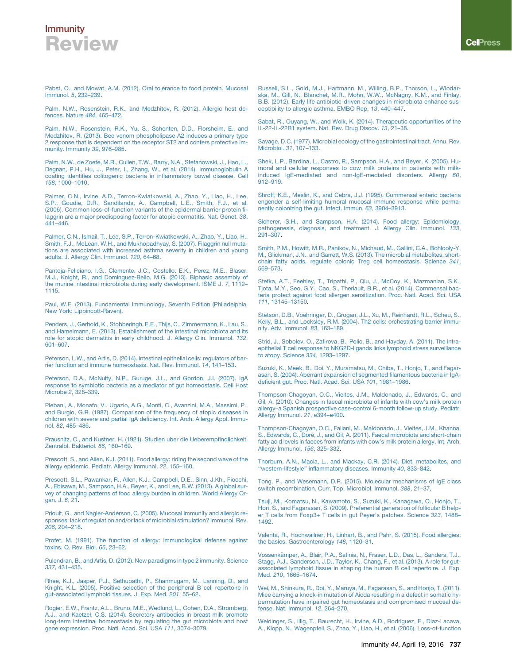<span id="page-9-11"></span>[Pabst, O., and Mowat, A.M. \(2012\). Oral tolerance to food protein. Mucosal](http://refhub.elsevier.com/S1074-7613(16)30017-6/sref99) Immunol. *5*[, 232–239](http://refhub.elsevier.com/S1074-7613(16)30017-6/sref99).

<span id="page-9-6"></span>[Palm, N.W., Rosenstein, R.K., and Medzhitov, R. \(2012\). Allergic host de](http://refhub.elsevier.com/S1074-7613(16)30017-6/sref100)[fences. Nature](http://refhub.elsevier.com/S1074-7613(16)30017-6/sref100) *484*, 465–472.

<span id="page-9-7"></span>[Palm, N.W., Rosenstein, R.K., Yu, S., Schenten, D.D., Florsheim, E., and](http://refhub.elsevier.com/S1074-7613(16)30017-6/sref101) [Medzhitov, R. \(2013\). Bee venom phospholipase A2 induces a primary type](http://refhub.elsevier.com/S1074-7613(16)30017-6/sref101) [2 response that is dependent on the receptor ST2 and confers protective im](http://refhub.elsevier.com/S1074-7613(16)30017-6/sref101)[munity. Immunity](http://refhub.elsevier.com/S1074-7613(16)30017-6/sref101) *39*, 976–985.

[Palm, N.W., de Zoete, M.R., Cullen, T.W., Barry, N.A., Stefanowski, J., Hao, L.,](http://refhub.elsevier.com/S1074-7613(16)30017-6/sref102) [Degnan, P.H., Hu, J., Peter, I., Zhang, W., et al. \(2014\). Immunoglobulin A](http://refhub.elsevier.com/S1074-7613(16)30017-6/sref102) [coating identifies colitogenic bacteria in inflammatory bowel disease. Cell](http://refhub.elsevier.com/S1074-7613(16)30017-6/sref102) *158*[, 1000–1010.](http://refhub.elsevier.com/S1074-7613(16)30017-6/sref102)

[Palmer, C.N., Irvine, A.D., Terron-Kwiatkowski, A., Zhao, Y., Liao, H., Lee,](http://refhub.elsevier.com/S1074-7613(16)30017-6/sref103) [S.P., Goudie, D.R., Sandilands, A., Campbell, L.E., Smith, F.J., et al.](http://refhub.elsevier.com/S1074-7613(16)30017-6/sref103) [\(2006\). Common loss-of-function variants of the epidermal barrier protein fi](http://refhub.elsevier.com/S1074-7613(16)30017-6/sref103)[laggrin are a major predisposing factor for atopic dermatitis. Nat. Genet.](http://refhub.elsevier.com/S1074-7613(16)30017-6/sref103) *38*, [441–446](http://refhub.elsevier.com/S1074-7613(16)30017-6/sref103).

[Palmer, C.N., Ismail, T., Lee, S.P., Terron-Kwiatkowski, A., Zhao, Y., Liao, H.,](http://refhub.elsevier.com/S1074-7613(16)30017-6/sref104) [Smith, F.J., McLean, W.H., and Mukhopadhyay, S. \(2007\). Filaggrin null muta](http://refhub.elsevier.com/S1074-7613(16)30017-6/sref104)[tions are associated with increased asthma severity in children and young](http://refhub.elsevier.com/S1074-7613(16)30017-6/sref104) [adults. J. Allergy Clin. Immunol.](http://refhub.elsevier.com/S1074-7613(16)30017-6/sref104) *120*, 64–68.

[Pantoja-Feliciano, I.G., Clemente, J.C., Costello, E.K., Perez, M.E., Blaser,](http://refhub.elsevier.com/S1074-7613(16)30017-6/sref105) [M.J., Knight, R., and Dominguez-Bello, M.G. \(2013\). Biphasic assembly of](http://refhub.elsevier.com/S1074-7613(16)30017-6/sref105) [the murine intestinal microbiota during early development. ISME J.](http://refhub.elsevier.com/S1074-7613(16)30017-6/sref105) *7*, 1112– [1115.](http://refhub.elsevier.com/S1074-7613(16)30017-6/sref105)

<span id="page-9-4"></span>[Paul, W.E. \(2013\). Fundamental Immunology, Seventh Edition \(Philadelphia,](http://refhub.elsevier.com/S1074-7613(16)30017-6/sref106) [New York: Lippincott-Raven\).](http://refhub.elsevier.com/S1074-7613(16)30017-6/sref106)

[Penders, J., Gerhold, K., Stobberingh, E.E., Thijs, C., Zimmermann, K., Lau, S.,](http://refhub.elsevier.com/S1074-7613(16)30017-6/sref107) [and Hamelmann, E. \(2013\). Establishment of the intestinal microbiota and its](http://refhub.elsevier.com/S1074-7613(16)30017-6/sref107) [role for atopic dermatitis in early childhood. J. Allergy Clin. Immunol.](http://refhub.elsevier.com/S1074-7613(16)30017-6/sref107) *132*, [601–607.](http://refhub.elsevier.com/S1074-7613(16)30017-6/sref107)

<span id="page-9-18"></span>[Peterson, L.W., and Artis, D. \(2014\). Intestinal epithelial cells: regulators of bar](http://refhub.elsevier.com/S1074-7613(16)30017-6/sref108)[rier function and immune homeostasis. Nat. Rev. Immunol.](http://refhub.elsevier.com/S1074-7613(16)30017-6/sref108) *14*, 141–153.

[Peterson, D.A., McNulty, N.P., Guruge, J.L., and Gordon, J.I. \(2007\). IgA](http://refhub.elsevier.com/S1074-7613(16)30017-6/sref109) [response to symbiotic bacteria as a mediator of gut homeostasis. Cell Host](http://refhub.elsevier.com/S1074-7613(16)30017-6/sref109) Microbe *2*[, 328–339](http://refhub.elsevier.com/S1074-7613(16)30017-6/sref109).

[Plebani, A., Monafo, V., Ugazio, A.G., Monti, C., Avanzini, M.A., Massimi, P.,](http://refhub.elsevier.com/S1074-7613(16)30017-6/sref110) [and Burgio, G.R. \(1987\). Comparison of the frequency of atopic diseases in](http://refhub.elsevier.com/S1074-7613(16)30017-6/sref110) [children with severe and partial IgA deficiency. Int. Arch. Allergy Appl. Immu](http://refhub.elsevier.com/S1074-7613(16)30017-6/sref110)nol. *82*[, 485–486.](http://refhub.elsevier.com/S1074-7613(16)30017-6/sref110)

<span id="page-9-3"></span><span id="page-9-0"></span>[Prausnitz, C., and Kustner, H. \(1921\). Studien uber die Ueberempfindlichkeit.](http://refhub.elsevier.com/S1074-7613(16)30017-6/sref111) [Zentralbl. Bakteriol.](http://refhub.elsevier.com/S1074-7613(16)30017-6/sref111) *86*, 160–169.

<span id="page-9-1"></span>[Prescott, S., and Allen, K.J. \(2011\). Food allergy: riding the second wave of the](http://refhub.elsevier.com/S1074-7613(16)30017-6/sref112) [allergy epidemic. Pediatr. Allergy Immunol.](http://refhub.elsevier.com/S1074-7613(16)30017-6/sref112) *22*, 155–160.

[Prescott, S.L., Pawankar, R., Allen, K.J., Campbell, D.E., Sinn, J.Kh., Fiocchi,](http://refhub.elsevier.com/S1074-7613(16)30017-6/sref113) [A., Ebisawa, M., Sampson, H.A., Beyer, K., and Lee, B.W. \(2013\). A global sur](http://refhub.elsevier.com/S1074-7613(16)30017-6/sref113)[vey of changing patterns of food allergy burden in children. World Allergy Or](http://refhub.elsevier.com/S1074-7613(16)30017-6/sref113)[gan. J.](http://refhub.elsevier.com/S1074-7613(16)30017-6/sref113) *6*, 21.

[Prioult, G., and Nagler-Anderson, C. \(2005\). Mucosal immunity and allergic re](http://refhub.elsevier.com/S1074-7613(16)30017-6/sref114)[sponses: lack of regulation and/or lack of microbial stimulation? Immunol. Rev.](http://refhub.elsevier.com/S1074-7613(16)30017-6/sref114) *206*[, 204–218](http://refhub.elsevier.com/S1074-7613(16)30017-6/sref114).

<span id="page-9-8"></span><span id="page-9-5"></span>[Profet, M. \(1991\). The function of allergy: immunological defense against](http://refhub.elsevier.com/S1074-7613(16)30017-6/sref115) [toxins. Q. Rev. Biol.](http://refhub.elsevier.com/S1074-7613(16)30017-6/sref115) *66*, 23–62.

<span id="page-9-16"></span>[Pulendran, B., and Artis, D. \(2012\). New paradigms in type 2 immunity. Science](http://refhub.elsevier.com/S1074-7613(16)30017-6/sref116) *337*[, 431–435](http://refhub.elsevier.com/S1074-7613(16)30017-6/sref116).

[Rhee, K.J., Jasper, P.J., Sethupathi, P., Shanmugam, M., Lanning, D., and](http://refhub.elsevier.com/S1074-7613(16)30017-6/sref117) [Knight, K.L. \(2005\). Positive selection of the peripheral B cell repertoire in](http://refhub.elsevier.com/S1074-7613(16)30017-6/sref117) [gut-associated lymphoid tissues. J. Exp. Med.](http://refhub.elsevier.com/S1074-7613(16)30017-6/sref117) *201*, 55–62.

[Rogier, E.W., Frantz, A.L., Bruno, M.E., Wedlund, L., Cohen, D.A., Stromberg,](http://refhub.elsevier.com/S1074-7613(16)30017-6/sref118) [A.J., and Kaetzel, C.S. \(2014\). Secretory antibodies in breast milk promote](http://refhub.elsevier.com/S1074-7613(16)30017-6/sref118) [long-term intestinal homeostasis by regulating the gut microbiota and host](http://refhub.elsevier.com/S1074-7613(16)30017-6/sref118) [gene expression. Proc. Natl. Acad. Sci. USA](http://refhub.elsevier.com/S1074-7613(16)30017-6/sref118) *111*, 3074–3079.

[Russell, S.L., Gold, M.J., Hartmann, M., Willing, B.P., Thorson, L., Wlodar](http://refhub.elsevier.com/S1074-7613(16)30017-6/sref119)[ska, M., Gill, N., Blanchet, M.R., Mohn, W.W., McNagny, K.M., and Finlay,](http://refhub.elsevier.com/S1074-7613(16)30017-6/sref119) [B.B. \(2012\). Early life antibiotic-driven changes in microbiota enhance sus](http://refhub.elsevier.com/S1074-7613(16)30017-6/sref119)[ceptibility to allergic asthma. EMBO Rep.](http://refhub.elsevier.com/S1074-7613(16)30017-6/sref119) *13*, 440–447.

<span id="page-9-12"></span>[Sabat, R., Ouyang, W., and Wolk, K. \(2014\). Therapeutic opportunities of the](http://refhub.elsevier.com/S1074-7613(16)30017-6/sref120) [IL-22-IL-22R1 system. Nat. Rev. Drug Discov.](http://refhub.elsevier.com/S1074-7613(16)30017-6/sref120) *13*, 21–38.

<span id="page-9-10"></span>[Savage, D.C. \(1977\). Microbial ecology of the gastrointestinal tract. Annu. Rev.](http://refhub.elsevier.com/S1074-7613(16)30017-6/sref121) [Microbiol.](http://refhub.elsevier.com/S1074-7613(16)30017-6/sref121) *31*, 107–133.

<span id="page-9-19"></span>[Shek, L.P., Bardina, L., Castro, R., Sampson, H.A., and Beyer, K. \(2005\). Hu](http://refhub.elsevier.com/S1074-7613(16)30017-6/sref122)[moral and cellular responses to cow milk proteins in patients with milk](http://refhub.elsevier.com/S1074-7613(16)30017-6/sref122)[induced IgE-mediated and non-IgE-mediated disorders. Allergy](http://refhub.elsevier.com/S1074-7613(16)30017-6/sref122) *60*, [912–919](http://refhub.elsevier.com/S1074-7613(16)30017-6/sref122).

[Shroff, K.E., Meslin, K., and Cebra, J.J. \(1995\). Commensal enteric bacteria](http://refhub.elsevier.com/S1074-7613(16)30017-6/sref123) [engender a self-limiting humoral mucosal immune response while perma](http://refhub.elsevier.com/S1074-7613(16)30017-6/sref123)[nently colonizing the gut. Infect. Immun.](http://refhub.elsevier.com/S1074-7613(16)30017-6/sref123) *63*, 3904–3913.

<span id="page-9-2"></span>[Sicherer, S.H., and Sampson, H.A. \(2014\). Food allergy: Epidemiology,](http://refhub.elsevier.com/S1074-7613(16)30017-6/sref124) [pathogenesis, diagnosis, and treatment. J. Allergy Clin. Immunol.](http://refhub.elsevier.com/S1074-7613(16)30017-6/sref124) *133*, [291–307.](http://refhub.elsevier.com/S1074-7613(16)30017-6/sref124)

[Smith, P.M., Howitt, M.R., Panikov, N., Michaud, M., Gallini, C.A., Bohlooly-Y,](http://refhub.elsevier.com/S1074-7613(16)30017-6/sref125) [M., Glickman, J.N., and Garrett, W.S. \(2013\). The microbial metabolites, short](http://refhub.elsevier.com/S1074-7613(16)30017-6/sref125)[chain fatty acids, regulate colonic Treg cell homeostasis. Science](http://refhub.elsevier.com/S1074-7613(16)30017-6/sref125) *341*, [569–573.](http://refhub.elsevier.com/S1074-7613(16)30017-6/sref125)

<span id="page-9-13"></span>[Stefka, A.T., Feehley, T., Tripathi, P., Qiu, J., McCoy, K., Mazmanian, S.K.,](http://refhub.elsevier.com/S1074-7613(16)30017-6/sref126) [Tjota, M.Y., Seo, G.Y., Cao, S., Theriault, B.R., et al. \(2014\). Commensal bac](http://refhub.elsevier.com/S1074-7613(16)30017-6/sref126)[teria protect against food allergen sensitization. Proc. Natl. Acad. Sci. USA](http://refhub.elsevier.com/S1074-7613(16)30017-6/sref126) *111*[, 13145–13150.](http://refhub.elsevier.com/S1074-7613(16)30017-6/sref126)

[Stetson, D.B., Voehringer, D., Grogan, J.L., Xu, M., Reinhardt, R.L., Scheu, S.,](http://refhub.elsevier.com/S1074-7613(16)30017-6/sref127) [Kelly, B.L., and Locksley, R.M. \(2004\). Th2 cells: orchestrating barrier immu](http://refhub.elsevier.com/S1074-7613(16)30017-6/sref127)[nity. Adv. Immunol.](http://refhub.elsevier.com/S1074-7613(16)30017-6/sref127) *83*, 163–189.

[Strid, J., Sobolev, O., Zafirova, B., Polic, B., and Hayday, A. \(2011\). The intra](http://refhub.elsevier.com/S1074-7613(16)30017-6/sref128)[epithelial T cell response to NKG2D-ligands links lymphoid stress surveillance](http://refhub.elsevier.com/S1074-7613(16)30017-6/sref128) [to atopy. Science](http://refhub.elsevier.com/S1074-7613(16)30017-6/sref128) *334*, 1293–1297.

[Suzuki, K., Meek, B., Doi, Y., Muramatsu, M., Chiba, T., Honjo, T., and Fagar](http://refhub.elsevier.com/S1074-7613(16)30017-6/sref129)[asan, S. \(2004\). Aberrant expansion of segmented filamentous bacteria in IgA](http://refhub.elsevier.com/S1074-7613(16)30017-6/sref129)[deficient gut. Proc. Natl. Acad. Sci. USA](http://refhub.elsevier.com/S1074-7613(16)30017-6/sref129) *101*, 1981–1986.

[Thompson-Chagoyan, O.C., Vieites, J.M., Maldonado, J., Edwards, C., and](http://refhub.elsevier.com/S1074-7613(16)30017-6/sref130) [Gil, A. \(2010\). Changes in faecal microbiota of infants with cow's milk protein](http://refhub.elsevier.com/S1074-7613(16)30017-6/sref130) [allergy–a Spanish prospective case-control 6-month follow-up study. Pediatr.](http://refhub.elsevier.com/S1074-7613(16)30017-6/sref130) [Allergy Immunol.](http://refhub.elsevier.com/S1074-7613(16)30017-6/sref130) *21*, e394–e400.

[Thompson-Chagoyan, O.C., Fallani, M., Maldonado, J., Vieites, J.M., Khanna,](http://refhub.elsevier.com/S1074-7613(16)30017-6/sref131) S., Edwards, C., Doré[, J., and Gil, A. \(2011\). Faecal microbiota and short-chain](http://refhub.elsevier.com/S1074-7613(16)30017-6/sref131) [fatty acid levels in faeces from infants with cow's milk protein allergy. Int. Arch.](http://refhub.elsevier.com/S1074-7613(16)30017-6/sref131) [Allergy Immunol.](http://refhub.elsevier.com/S1074-7613(16)30017-6/sref131) *156*, 325–332.

<span id="page-9-9"></span>[Thorburn, A.N., Macia, L., and Mackay, C.R. \(2014\). Diet, metabolites, and](http://refhub.elsevier.com/S1074-7613(16)30017-6/sref132) [''western-lifestyle'' inflammatory diseases. Immunity](http://refhub.elsevier.com/S1074-7613(16)30017-6/sref132) *40*, 833–842.

<span id="page-9-15"></span>[Tong, P., and Wesemann, D.R. \(2015\). Molecular mechanisms of IgE class](http://refhub.elsevier.com/S1074-7613(16)30017-6/sref133) [switch recombination. Curr. Top. Microbiol. Immunol.](http://refhub.elsevier.com/S1074-7613(16)30017-6/sref133) *388*, 21–37.

[Tsuji, M., Komatsu, N., Kawamoto, S., Suzuki, K., Kanagawa, O., Honjo, T.,](http://refhub.elsevier.com/S1074-7613(16)30017-6/sref134) [Hori, S., and Fagarasan, S. \(2009\). Preferential generation of follicular B help](http://refhub.elsevier.com/S1074-7613(16)30017-6/sref134)[er T cells from Foxp3+ T cells in gut Peyer's patches. Science](http://refhub.elsevier.com/S1074-7613(16)30017-6/sref134) *323*, 1488– [1492.](http://refhub.elsevier.com/S1074-7613(16)30017-6/sref134)

<span id="page-9-14"></span>[Valenta, R., Hochwallner, H., Linhart, B., and Pahr, S. \(2015\). Food allergies:](http://refhub.elsevier.com/S1074-7613(16)30017-6/sref135) [the basics. Gastroenterology](http://refhub.elsevier.com/S1074-7613(16)30017-6/sref135) *148*, 1120–31.

<span id="page-9-17"></span>Vossenkä[mper, A., Blair, P.A., Safinia, N., Fraser, L.D., Das, L., Sanders, T.J.,](http://refhub.elsevier.com/S1074-7613(16)30017-6/sref136) [Stagg, A.J., Sanderson, J.D., Taylor, K., Chang, F., et al. \(2013\). A role for gut](http://refhub.elsevier.com/S1074-7613(16)30017-6/sref136)[associated lymphoid tissue in shaping the human B cell repertoire. J. Exp.](http://refhub.elsevier.com/S1074-7613(16)30017-6/sref136) Med. *210*[, 1665–1674.](http://refhub.elsevier.com/S1074-7613(16)30017-6/sref136)

[Wei, M., Shinkura, R., Doi, Y., Maruya, M., Fagarasan, S., and Honjo, T. \(2011\).](http://refhub.elsevier.com/S1074-7613(16)30017-6/sref137) [Mice carrying a knock-in mutation of Aicda resulting in a defect in somatic hy](http://refhub.elsevier.com/S1074-7613(16)30017-6/sref137)[permutation have impaired gut homeostasis and compromised mucosal de](http://refhub.elsevier.com/S1074-7613(16)30017-6/sref137)[fense. Nat. Immunol.](http://refhub.elsevier.com/S1074-7613(16)30017-6/sref137) *12*, 264–270.

[Weidinger, S., Illig, T., Baurecht, H., Irvine, A.D., Rodriguez, E., Diaz-Lacava,](http://refhub.elsevier.com/S1074-7613(16)30017-6/sref138) [A., Klopp, N., Wagenpfeil, S., Zhao, Y., Liao, H., et al. \(2006\). Loss-of-function](http://refhub.elsevier.com/S1074-7613(16)30017-6/sref138)